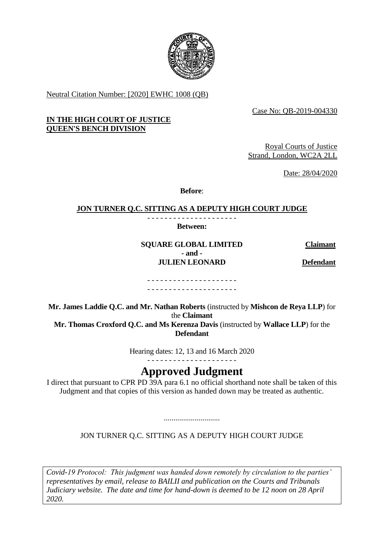

Neutral Citation Number: [2020] EWHC 1008 (QB)

Case No: QB-2019-004330

### **IN THE HIGH COURT OF JUSTICE QUEEN'S BENCH DIVISION**

Royal Courts of Justice Strand, London, WC2A 2LL

Date: 28/04/2020

**Before**:

#### **JON TURNER Q.C. SITTING AS A DEPUTY HIGH COURT JUDGE** - - - - - - - - - - - - - - - - - - - - -

**Between:**

**SQUARE GLOBAL LIMITED Claimant - and - JULIEN LEONARD Defendant**

- - - - - - - - - - - - - - - - - - - - - - - - - - - - - - - - - - - - - - - - - -

**Mr. James Laddie Q.C. and Mr. Nathan Roberts** (instructed by **Mishcon de Reya LLP**) for the **Claimant Mr. Thomas Croxford Q.C. and Ms Kerenza Davis** (instructed by **Wallace LLP**) for the **Defendant**

Hearing dates: 12, 13 and 16 March 2020

- - - - - - - - - - - - - - - - - - - - -

# **Approved Judgment**

I direct that pursuant to CPR PD 39A para 6.1 no official shorthand note shall be taken of this Judgment and that copies of this version as handed down may be treated as authentic.

JON TURNER Q.C. SITTING AS A DEPUTY HIGH COURT JUDGE

.............................

*Covid-19 Protocol: This judgment was handed down remotely by circulation to the parties' representatives by email, release to BAILII and publication on the Courts and Tribunals Judiciary website. The date and time for hand-down is deemed to be 12 noon on 28 April 2020.*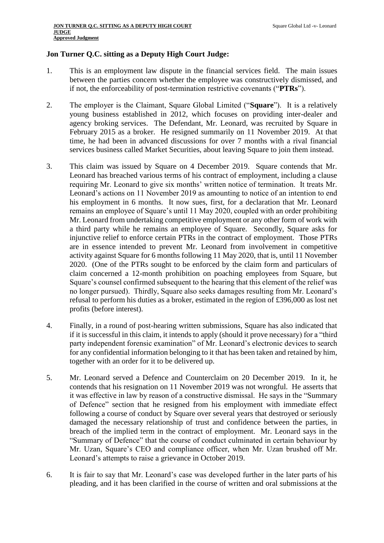#### **Jon Turner Q.C. sitting as a Deputy High Court Judge:**

- 1. This is an employment law dispute in the financial services field. The main issues between the parties concern whether the employee was constructively dismissed, and if not, the enforceability of post-termination restrictive covenants ("**PTRs**").
- 2. The employer is the Claimant, Square Global Limited ("**Square**"). It is a relatively young business established in 2012, which focuses on providing inter-dealer and agency broking services. The Defendant, Mr. Leonard, was recruited by Square in February 2015 as a broker. He resigned summarily on 11 November 2019. At that time, he had been in advanced discussions for over 7 months with a rival financial services business called Market Securities, about leaving Square to join them instead.
- 3. This claim was issued by Square on 4 December 2019. Square contends that Mr. Leonard has breached various terms of his contract of employment, including a clause requiring Mr. Leonard to give six months' written notice of termination. It treats Mr. Leonard's actions on 11 November 2019 as amounting to notice of an intention to end his employment in 6 months. It now sues, first, for a declaration that Mr. Leonard remains an employee of Square's until 11 May 2020, coupled with an order prohibiting Mr. Leonard from undertaking competitive employment or any other form of work with a third party while he remains an employee of Square. Secondly, Square asks for injunctive relief to enforce certain PTRs in the contract of employment. Those PTRs are in essence intended to prevent Mr. Leonard from involvement in competitive activity against Square for 6 months following 11 May 2020, that is, until 11 November 2020. (One of the PTRs sought to be enforced by the claim form and particulars of claim concerned a 12-month prohibition on poaching employees from Square, but Square's counsel confirmed subsequent to the hearing that this element of the relief was no longer pursued). Thirdly, Square also seeks damages resulting from Mr. Leonard's refusal to perform his duties as a broker, estimated in the region of £396,000 as lost net profits (before interest).
- 4. Finally, in a round of post-hearing written submissions, Square has also indicated that if it is successful in this claim, it intends to apply (should it prove necessary) for a "third party independent forensic examination" of Mr. Leonard's electronic devices to search for any confidential information belonging to it that has been taken and retained by him, together with an order for it to be delivered up.
- 5. Mr. Leonard served a Defence and Counterclaim on 20 December 2019. In it, he contends that his resignation on 11 November 2019 was not wrongful. He asserts that it was effective in law by reason of a constructive dismissal. He says in the "Summary of Defence" section that he resigned from his employment with immediate effect following a course of conduct by Square over several years that destroyed or seriously damaged the necessary relationship of trust and confidence between the parties, in breach of the implied term in the contract of employment. Mr. Leonard says in the "Summary of Defence" that the course of conduct culminated in certain behaviour by Mr. Uzan, Square's CEO and compliance officer, when Mr. Uzan brushed off Mr. Leonard's attempts to raise a grievance in October 2019.
- 6. It is fair to say that Mr. Leonard's case was developed further in the later parts of his pleading, and it has been clarified in the course of written and oral submissions at the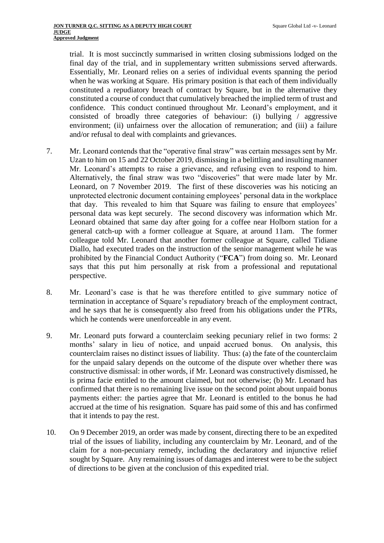trial. It is most succinctly summarised in written closing submissions lodged on the final day of the trial, and in supplementary written submissions served afterwards. Essentially, Mr. Leonard relies on a series of individual events spanning the period when he was working at Square. His primary position is that each of them individually constituted a repudiatory breach of contract by Square, but in the alternative they constituted a course of conduct that cumulatively breached the implied term of trust and confidence. This conduct continued throughout Mr. Leonard's employment, and it consisted of broadly three categories of behaviour: (i) bullying / aggressive environment; (ii) unfairness over the allocation of remuneration; and (iii) a failure and/or refusal to deal with complaints and grievances.

- 7. Mr. Leonard contends that the "operative final straw" was certain messages sent by Mr. Uzan to him on 15 and 22 October 2019, dismissing in a belittling and insulting manner Mr. Leonard's attempts to raise a grievance, and refusing even to respond to him. Alternatively, the final straw was two "discoveries" that were made later by Mr. Leonard, on 7 November 2019. The first of these discoveries was his noticing an unprotected electronic document containing employees' personal data in the workplace that day. This revealed to him that Square was failing to ensure that employees' personal data was kept securely. The second discovery was information which Mr. Leonard obtained that same day after going for a coffee near Holborn station for a general catch-up with a former colleague at Square, at around 11am. The former colleague told Mr. Leonard that another former colleague at Square, called Tidiane Diallo, had executed trades on the instruction of the senior management while he was prohibited by the Financial Conduct Authority ("**FCA**") from doing so. Mr. Leonard says that this put him personally at risk from a professional and reputational perspective.
- 8. Mr. Leonard's case is that he was therefore entitled to give summary notice of termination in acceptance of Square's repudiatory breach of the employment contract, and he says that he is consequently also freed from his obligations under the PTRs, which he contends were unenforceable in any event.
- 9. Mr. Leonard puts forward a counterclaim seeking pecuniary relief in two forms: 2 months' salary in lieu of notice, and unpaid accrued bonus. On analysis, this counterclaim raises no distinct issues of liability. Thus: (a) the fate of the counterclaim for the unpaid salary depends on the outcome of the dispute over whether there was constructive dismissal: in other words, if Mr. Leonard was constructively dismissed, he is prima facie entitled to the amount claimed, but not otherwise; (b) Mr. Leonard has confirmed that there is no remaining live issue on the second point about unpaid bonus payments either: the parties agree that Mr. Leonard is entitled to the bonus he had accrued at the time of his resignation. Square has paid some of this and has confirmed that it intends to pay the rest.
- 10. On 9 December 2019, an order was made by consent, directing there to be an expedited trial of the issues of liability, including any counterclaim by Mr. Leonard, and of the claim for a non-pecuniary remedy, including the declaratory and injunctive relief sought by Square. Any remaining issues of damages and interest were to be the subject of directions to be given at the conclusion of this expedited trial.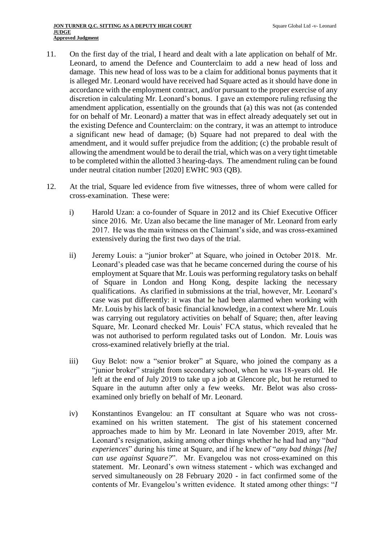- 11. On the first day of the trial, I heard and dealt with a late application on behalf of Mr. Leonard, to amend the Defence and Counterclaim to add a new head of loss and damage. This new head of loss was to be a claim for additional bonus payments that it is alleged Mr. Leonard would have received had Square acted as it should have done in accordance with the employment contract, and/or pursuant to the proper exercise of any discretion in calculating Mr. Leonard's bonus. I gave an extempore ruling refusing the amendment application, essentially on the grounds that (a) this was not (as contended for on behalf of Mr. Leonard) a matter that was in effect already adequately set out in the existing Defence and Counterclaim: on the contrary, it was an attempt to introduce a significant new head of damage; (b) Square had not prepared to deal with the amendment, and it would suffer prejudice from the addition; (c) the probable result of allowing the amendment would be to derail the trial, which was on a very tight timetable to be completed within the allotted 3 hearing-days. The amendment ruling can be found under neutral citation number [2020] EWHC 903 (QB).
- <span id="page-3-0"></span>12. At the trial, Square led evidence from five witnesses, three of whom were called for cross-examination. These were:
	- i) Harold Uzan: a co-founder of Square in 2012 and its Chief Executive Officer since 2016. Mr. Uzan also became the line manager of Mr. Leonard from early 2017. He was the main witness on the Claimant's side, and was cross-examined extensively during the first two days of the trial.
	- ii) Jeremy Louis: a "junior broker" at Square, who joined in October 2018. Mr. Leonard's pleaded case was that he became concerned during the course of his employment at Square that Mr. Louis was performing regulatory tasks on behalf of Square in London and Hong Kong, despite lacking the necessary qualifications. As clarified in submissions at the trial, however, Mr. Leonard's case was put differently: it was that he had been alarmed when working with Mr. Louis by his lack of basic financial knowledge, in a context where Mr. Louis was carrying out regulatory activities on behalf of Square; then, after leaving Square, Mr. Leonard checked Mr. Louis' FCA status, which revealed that he was not authorised to perform regulated tasks out of London. Mr. Louis was cross-examined relatively briefly at the trial.
	- iii) Guy Belot: now a "senior broker" at Square, who joined the company as a "junior broker" straight from secondary school, when he was 18-years old. He left at the end of July 2019 to take up a job at Glencore plc, but he returned to Square in the autumn after only a few weeks. Mr. Belot was also crossexamined only briefly on behalf of Mr. Leonard.
	- iv) Konstantinos Evangelou: an IT consultant at Square who was not crossexamined on his written statement. The gist of his statement concerned approaches made to him by Mr. Leonard in late November 2019, after Mr. Leonard's resignation, asking among other things whether he had had any "*bad experiences*" during his time at Square, and if he knew of "*any bad things [he] can use against Square?*". Mr. Evangelou was not cross-examined on this statement. Mr. Leonard's own witness statement - which was exchanged and served simultaneously on 28 February 2020 - in fact confirmed some of the contents of Mr. Evangelou's written evidence. It stated among other things: "*I*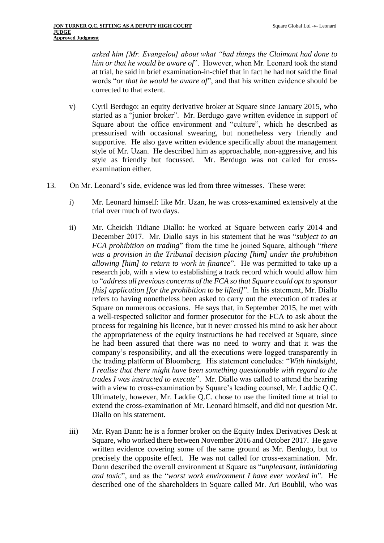*asked him [Mr. Evangelou] about what "bad things the Claimant had done to him or that he would be aware of*". However, when Mr. Leonard took the stand at trial, he said in brief examination-in-chief that in fact he had not said the final words "*or that he would be aware of*", and that his written evidence should be corrected to that extent.

- v) Cyril Berdugo: an equity derivative broker at Square since January 2015, who started as a "junior broker". Mr. Berdugo gave written evidence in support of Square about the office environment and "culture", which he described as pressurised with occasional swearing, but nonetheless very friendly and supportive. He also gave written evidence specifically about the management style of Mr. Uzan. He described him as approachable, non-aggressive, and his style as friendly but focussed. Mr. Berdugo was not called for crossexamination either.
- <span id="page-4-0"></span>13. On Mr. Leonard's side, evidence was led from three witnesses. These were:
	- i) Mr. Leonard himself: like Mr. Uzan, he was cross-examined extensively at the trial over much of two days.
	- ii) Mr. Cheickh Tidiane Diallo: he worked at Square between early 2014 and December 2017. Mr. Diallo says in his statement that he was "*subject to an FCA prohibition on trading*" from the time he joined Square, although "*there was a provision in the Tribunal decision placing [him] under the prohibition allowing [him] to return to work in finance*". He was permitted to take up a research job, with a view to establishing a track record which would allow him to "*address all previous concerns of the FCA so that Square could opt to sponsor [his] application [for the prohibition to be lifted]*". In his statement, Mr. Diallo refers to having nonetheless been asked to carry out the execution of trades at Square on numerous occasions. He says that, in September 2015, he met with a well-respected solicitor and former prosecutor for the FCA to ask about the process for regaining his licence, but it never crossed his mind to ask her about the appropriateness of the equity instructions he had received at Square, since he had been assured that there was no need to worry and that it was the company's responsibility, and all the executions were logged transparently in the trading platform of Bloomberg. His statement concludes: "*With hindsight, I realise that there might have been something questionable with regard to the trades I was instructed to execute*". Mr. Diallo was called to attend the hearing with a view to cross-examination by Square's leading counsel, Mr. Laddie Q.C. Ultimately, however, Mr. Laddie Q.C. chose to use the limited time at trial to extend the cross-examination of Mr. Leonard himself, and did not question Mr. Diallo on his statement.
	- iii) Mr. Ryan Dann: he is a former broker on the Equity Index Derivatives Desk at Square, who worked there between November 2016 and October 2017. He gave written evidence covering some of the same ground as Mr. Berdugo, but to precisely the opposite effect. He was not called for cross-examination. Mr. Dann described the overall environment at Square as "*unpleasant, intimidating and toxic*", and as the "*worst work environment I have ever worked in*". He described one of the shareholders in Square called Mr. Ari Boublil, who was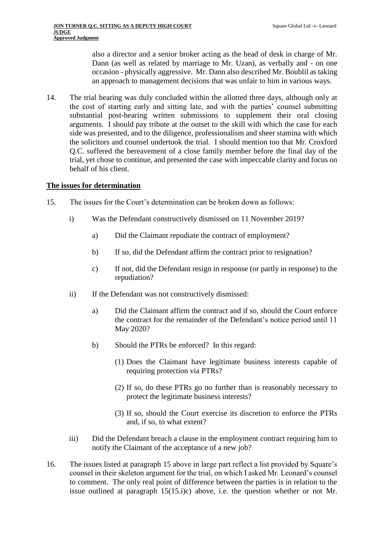also a director and a senior broker acting as the head of desk in charge of Mr. Dann (as well as related by marriage to Mr. Uzan), as verbally and - on one occasion - physically aggressive. Mr. Dann also described Mr. Boublil as taking an approach to management decisions that was unfair to him in various ways.

14. The trial hearing was duly concluded within the allotted three days, although only at the cost of starting early and sitting late, and with the parties' counsel submitting substantial post-hearing written submissions to supplement their oral closing arguments. I should pay tribute at the outset to the skill with which the case for each side was presented, and to the diligence, professionalism and sheer stamina with which the solicitors and counsel undertook the trial. I should mention too that Mr. Croxford Q.C. suffered the bereavement of a close family member before the final day of the trial, yet chose to continue, and presented the case with impeccable clarity and focus on behalf of his client.

#### **The issues for determination**

- <span id="page-5-1"></span><span id="page-5-0"></span>15. The issues for the Court's determination can be broken down as follows:
	- i) Was the Defendant constructively dismissed on 11 November 2019?
		- a) Did the Claimant repudiate the contract of employment?
		- b) If so, did the Defendant affirm the contract prior to resignation?
		- c) If not, did the Defendant resign in response (or partly in response) to the repudiation?
	- ii) If the Defendant was not constructively dismissed:
		- a) Did the Claimant affirm the contract and if so, should the Court enforce the contract for the remainder of the Defendant's notice period until 11 May 2020?
		- b) Should the PTRs be enforced? In this regard:
			- (1) Does the Claimant have legitimate business interests capable of requiring protection via PTRs?
			- (2) If so, do these PTRs go no further than is reasonably necessary to protect the legitimate business interests?
			- (3) If so, should the Court exercise its discretion to enforce the PTRs and, if so, to what extent?
	- iii) Did the Defendant breach a clause in the employment contract requiring him to notify the Claimant of the acceptance of a new job?
- <span id="page-5-2"></span>16. The issues listed at paragraph [15](#page-5-0) above in large part reflect a list provided by Square's counsel in their skeleton argument for the trial, on which I asked Mr. Leonard's counsel to comment. The only real point of difference between the parties is in relation to the issue outlined at paragraph 15[\(15.i\)c\)](#page-5-1) above, i.e. the question whether or not Mr.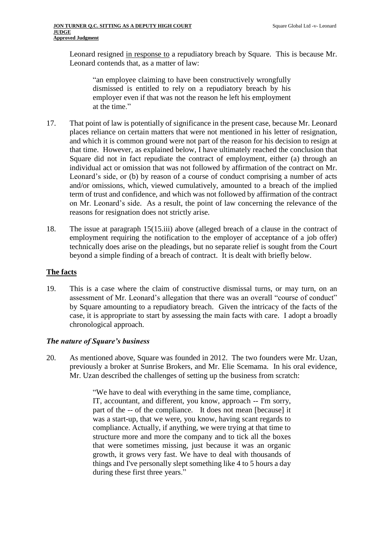Leonard resigned in response to a repudiatory breach by Square. This is because Mr. Leonard contends that, as a matter of law:

"an employee claiming to have been constructively wrongfully dismissed is entitled to rely on a repudiatory breach by his employer even if that was not the reason he left his employment at the time."

- 17. That point of law is potentially of significance in the present case, because Mr. Leonard places reliance on certain matters that were not mentioned in his letter of resignation, and which it is common ground were not part of the reason for his decision to resign at that time. However, as explained below, I have ultimately reached the conclusion that Square did not in fact repudiate the contract of employment, either (a) through an individual act or omission that was not followed by affirmation of the contract on Mr. Leonard's side, or (b) by reason of a course of conduct comprising a number of acts and/or omissions, which, viewed cumulatively, amounted to a breach of the implied term of trust and confidence, and which was not followed by affirmation of the contract on Mr. Leonard's side. As a result, the point of law concerning the relevance of the reasons for resignation does not strictly arise.
- 18. The issue at paragraph 15[\(15.iii\)](#page-5-2) above (alleged breach of a clause in the contract of employment requiring the notification to the employer of acceptance of a job offer) technically does arise on the pleadings, but no separate relief is sought from the Court beyond a simple finding of a breach of contract. It is dealt with briefly below.

## **The facts**

19. This is a case where the claim of constructive dismissal turns, or may turn, on an assessment of Mr. Leonard's allegation that there was an overall "course of conduct" by Square amounting to a repudiatory breach. Given the intricacy of the facts of the case, it is appropriate to start by assessing the main facts with care. I adopt a broadly chronological approach.

## *The nature of Square's business*

20. As mentioned above, Square was founded in 2012. The two founders were Mr. Uzan, previously a broker at Sunrise Brokers, and Mr. Elie Scemama. In his oral evidence, Mr. Uzan described the challenges of setting up the business from scratch:

> "We have to deal with everything in the same time, compliance, IT, accountant, and different, you know, approach -- I'm sorry, part of the -- of the compliance. It does not mean [because] it was a start-up, that we were, you know, having scant regards to compliance. Actually, if anything, we were trying at that time to structure more and more the company and to tick all the boxes that were sometimes missing, just because it was an organic growth, it grows very fast. We have to deal with thousands of things and I've personally slept something like 4 to 5 hours a day during these first three years."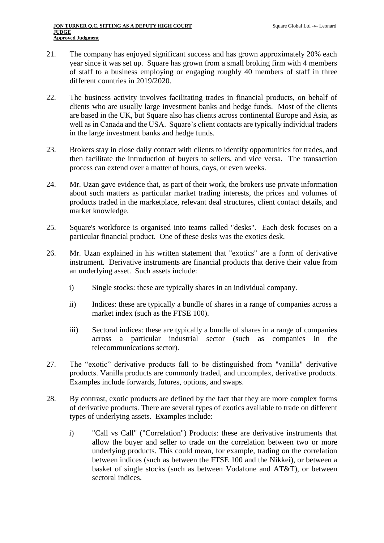- 21. The company has enjoyed significant success and has grown approximately 20% each year since it was set up. Square has grown from a small broking firm with 4 members of staff to a business employing or engaging roughly 40 members of staff in three different countries in 2019/2020.
- 22. The business activity involves facilitating trades in financial products, on behalf of clients who are usually large investment banks and hedge funds. Most of the clients are based in the UK, but Square also has clients across continental Europe and Asia, as well as in Canada and the USA. Square's client contacts are typically individual traders in the large investment banks and hedge funds.
- 23. Brokers stay in close daily contact with clients to identify opportunities for trades, and then facilitate the introduction of buyers to sellers, and vice versa. The transaction process can extend over a matter of hours, days, or even weeks.
- 24. Mr. Uzan gave evidence that, as part of their work, the brokers use private information about such matters as particular market trading interests, the prices and volumes of products traded in the marketplace, relevant deal structures, client contact details, and market knowledge.
- 25. Square's workforce is organised into teams called "desks". Each desk focuses on a particular financial product. One of these desks was the exotics desk.
- 26. Mr. Uzan explained in his written statement that "exotics" are a form of derivative instrument. Derivative instruments are financial products that derive their value from an underlying asset. Such assets include:
	- i) Single stocks: these are typically shares in an individual company.
	- ii) Indices: these are typically a bundle of shares in a range of companies across a market index (such as the FTSE 100).
	- iii) Sectoral indices: these are typically a bundle of shares in a range of companies across a particular industrial sector (such as companies in the telecommunications sector).
- 27. The "exotic" derivative products fall to be distinguished from "vanilla" derivative products. Vanilla products are commonly traded, and uncomplex, derivative products. Examples include forwards, futures, options, and swaps.
- 28. By contrast, exotic products are defined by the fact that they are more complex forms of derivative products. There are several types of exotics available to trade on different types of underlying assets. Examples include:
	- i) "Call vs Call" ("Correlation") Products: these are derivative instruments that allow the buyer and seller to trade on the correlation between two or more underlying products. This could mean, for example, trading on the correlation between indices (such as between the FTSE 100 and the Nikkei), or between a basket of single stocks (such as between Vodafone and AT&T), or between sectoral indices.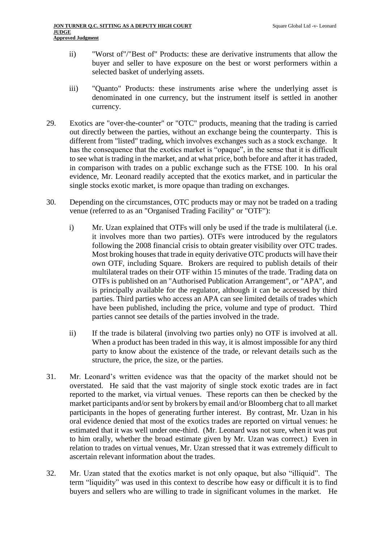- ii) "Worst of"/"Best of" Products: these are derivative instruments that allow the buyer and seller to have exposure on the best or worst performers within a selected basket of underlying assets.
- iii) "Quanto" Products: these instruments arise where the underlying asset is denominated in one currency, but the instrument itself is settled in another currency.
- 29. Exotics are "over-the-counter" or "OTC" products, meaning that the trading is carried out directly between the parties, without an exchange being the counterparty. This is different from "listed" trading, which involves exchanges such as a stock exchange. It has the consequence that the exotics market is "opaque", in the sense that it is difficult to see what is trading in the market, and at what price, both before and after it has traded, in comparison with trades on a public exchange such as the FTSE 100. In his oral evidence, Mr. Leonard readily accepted that the exotics market, and in particular the single stocks exotic market, is more opaque than trading on exchanges.
- 30. Depending on the circumstances, OTC products may or may not be traded on a trading venue (referred to as an "Organised Trading Facility" or "OTF"):
	- i) Mr. Uzan explained that OTFs will only be used if the trade is multilateral (i.e. it involves more than two parties). OTFs were introduced by the regulators following the 2008 financial crisis to obtain greater visibility over OTC trades. Most broking houses that trade in equity derivative OTC products will have their own OTF, including Square. Brokers are required to publish details of their multilateral trades on their OTF within 15 minutes of the trade. Trading data on OTFs is published on an "Authorised Publication Arrangement", or "APA", and is principally available for the regulator, although it can be accessed by third parties. Third parties who access an APA can see limited details of trades which have been published, including the price, volume and type of product. Third parties cannot see details of the parties involved in the trade.
	- ii) If the trade is bilateral (involving two parties only) no OTF is involved at all. When a product has been traded in this way, it is almost impossible for any third party to know about the existence of the trade, or relevant details such as the structure, the price, the size, or the parties.
- 31. Mr. Leonard's written evidence was that the opacity of the market should not be overstated. He said that the vast majority of single stock exotic trades are in fact reported to the market, via virtual venues. These reports can then be checked by the market participants and/or sent by brokers by email and/or Bloomberg chat to all market participants in the hopes of generating further interest. By contrast, Mr. Uzan in his oral evidence denied that most of the exotics trades are reported on virtual venues: he estimated that it was well under one-third. (Mr. Leonard was not sure, when it was put to him orally, whether the broad estimate given by Mr. Uzan was correct.) Even in relation to trades on virtual venues, Mr. Uzan stressed that it was extremely difficult to ascertain relevant information about the trades.
- 32. Mr. Uzan stated that the exotics market is not only opaque, but also "illiquid". The term "liquidity" was used in this context to describe how easy or difficult it is to find buyers and sellers who are willing to trade in significant volumes in the market. He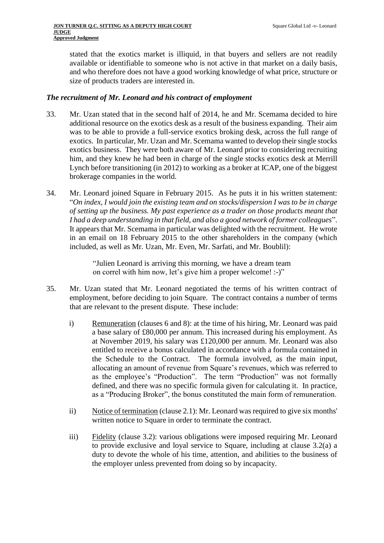stated that the exotics market is illiquid, in that buyers and sellers are not readily available or identifiable to someone who is not active in that market on a daily basis, and who therefore does not have a good working knowledge of what price, structure or size of products traders are interested in.

#### *The recruitment of Mr. Leonard and his contract of employment*

- 33. Mr. Uzan stated that in the second half of 2014, he and Mr. Scemama decided to hire additional resource on the exotics desk as a result of the business expanding. Their aim was to be able to provide a full-service exotics broking desk, across the full range of exotics. In particular, Mr. Uzan and Mr. Scemama wanted to develop their single stocks exotics business. They were both aware of Mr. Leonard prior to considering recruiting him, and they knew he had been in charge of the single stocks exotics desk at Merrill Lynch before transitioning (in 2012) to working as a broker at ICAP, one of the biggest brokerage companies in the world.
- 34. Mr. Leonard joined Square in February 2015. As he puts it in his written statement: "*On index, I would join the existing team and on stocks/dispersion I was to be in charge of setting up the business. My past experience as a trader on those products meant that I had a deep understanding in that field, and also a good network of former colleagues*". It appears that Mr. Scemama in particular was delighted with the recruitment. He wrote in an email on 18 February 2015 to the other shareholders in the company (which included, as well as Mr. Uzan, Mr. Even, Mr. Sarfati, and Mr. Boublil):

"Julien Leonard is arriving this morning, we have a dream team on correl with him now, let's give him a proper welcome! :-)"

- 35. Mr. Uzan stated that Mr. Leonard negotiated the terms of his written contract of employment, before deciding to join Square. The contract contains a number of terms that are relevant to the present dispute. These include:
	- i) Remuneration (clauses 6 and 8): at the time of his hiring, Mr. Leonard was paid a base salary of £80,000 per annum. This increased during his employment. As at November 2019, his salary was £120,000 per annum. Mr. Leonard was also entitled to receive a bonus calculated in accordance with a formula contained in the Schedule to the Contract. The formula involved, as the main input, allocating an amount of revenue from Square's revenues, which was referred to as the employee's "Production". The term "Production" was not formally defined, and there was no specific formula given for calculating it. In practice, as a "Producing Broker", the bonus constituted the main form of remuneration.
	- ii) Notice of termination (clause 2.1): Mr. Leonard was required to give six months' written notice to Square in order to terminate the contract.
	- iii) Fidelity (clause 3.2): various obligations were imposed requiring Mr. Leonard to provide exclusive and loyal service to Square, including at clause 3.2(a) a duty to devote the whole of his time, attention, and abilities to the business of the employer unless prevented from doing so by incapacity.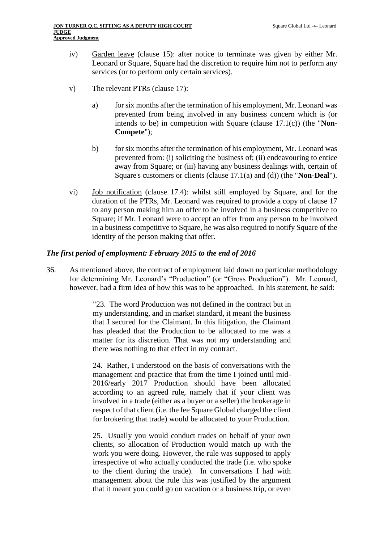- iv) Garden leave (clause 15): after notice to terminate was given by either Mr. Leonard or Square, Square had the discretion to require him not to perform any services (or to perform only certain services).
- <span id="page-10-0"></span>v) The relevant PTRs (clause 17):
	- a) for six months after the termination of his employment, Mr. Leonard was prevented from being involved in any business concern which is (or intends to be) in competition with Square (clause 17.1(c)) (the "**Non-Compete**");
	- b) for six months after the termination of his employment, Mr. Leonard was prevented from: (i) soliciting the business of; (ii) endeavouring to entice away from Square; or (iii) having any business dealings with, certain of Square's customers or clients (clause 17.1(a) and (d)) (the "**Non-Deal**").
- vi) Job notification (clause 17.4): whilst still employed by Square, and for the duration of the PTRs, Mr. Leonard was required to provide a copy of clause 17 to any person making him an offer to be involved in a business competitive to Square; if Mr. Leonard were to accept an offer from any person to be involved in a business competitive to Square, he was also required to notify Square of the identity of the person making that offer.

### *The first period of employment: February 2015 to the end of 2016*

36. As mentioned above, the contract of employment laid down no particular methodology for determining Mr. Leonard's "Production" (or "Gross Production"). Mr. Leonard, however, had a firm idea of how this was to be approached. In his statement, he said:

> "23. The word Production was not defined in the contract but in my understanding, and in market standard, it meant the business that I secured for the Claimant. In this litigation, the Claimant has pleaded that the Production to be allocated to me was a matter for its discretion. That was not my understanding and there was nothing to that effect in my contract.

> 24. Rather, I understood on the basis of conversations with the management and practice that from the time I joined until mid-2016/early 2017 Production should have been allocated according to an agreed rule, namely that if your client was involved in a trade (either as a buyer or a seller) the brokerage in respect of that client (i.e. the fee Square Global charged the client for brokering that trade) would be allocated to your Production.

> 25. Usually you would conduct trades on behalf of your own clients, so allocation of Production would match up with the work you were doing. However, the rule was supposed to apply irrespective of who actually conducted the trade (i.e. who spoke to the client during the trade). In conversations I had with management about the rule this was justified by the argument that it meant you could go on vacation or a business trip, or even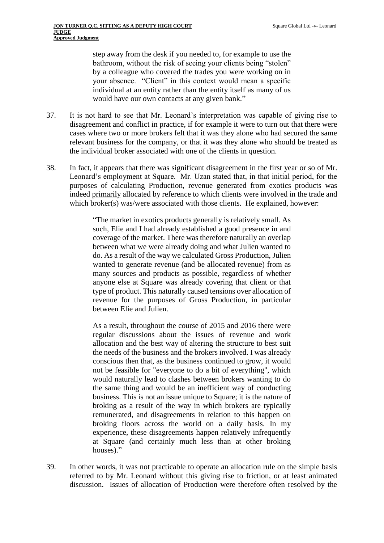step away from the desk if you needed to, for example to use the bathroom, without the risk of seeing your clients being "stolen" by a colleague who covered the trades you were working on in your absence. "Client" in this context would mean a specific individual at an entity rather than the entity itself as many of us would have our own contacts at any given bank."

- 37. It is not hard to see that Mr. Leonard's interpretation was capable of giving rise to disagreement and conflict in practice, if for example it were to turn out that there were cases where two or more brokers felt that it was they alone who had secured the same relevant business for the company, or that it was they alone who should be treated as the individual broker associated with one of the clients in question.
- <span id="page-11-0"></span>38. In fact, it appears that there was significant disagreement in the first year or so of Mr. Leonard's employment at Square. Mr. Uzan stated that, in that initial period, for the purposes of calculating Production, revenue generated from exotics products was indeed primarily allocated by reference to which clients were involved in the trade and which broker(s) was/were associated with those clients. He explained, however:

"The market in exotics products generally is relatively small. As such, Elie and I had already established a good presence in and coverage of the market. There was therefore naturally an overlap between what we were already doing and what Julien wanted to do. As a result of the way we calculated Gross Production, Julien wanted to generate revenue (and be allocated revenue) from as many sources and products as possible, regardless of whether anyone else at Square was already covering that client or that type of product. This naturally caused tensions over allocation of revenue for the purposes of Gross Production, in particular between Elie and Julien.

As a result, throughout the course of 2015 and 2016 there were regular discussions about the issues of revenue and work allocation and the best way of altering the structure to best suit the needs of the business and the brokers involved. I was already conscious then that, as the business continued to grow, it would not be feasible for "everyone to do a bit of everything", which would naturally lead to clashes between brokers wanting to do the same thing and would be an inefficient way of conducting business. This is not an issue unique to Square; it is the nature of broking as a result of the way in which brokers are typically remunerated, and disagreements in relation to this happen on broking floors across the world on a daily basis. In my experience, these disagreements happen relatively infrequently at Square (and certainly much less than at other broking houses)."

39. In other words, it was not practicable to operate an allocation rule on the simple basis referred to by Mr. Leonard without this giving rise to friction, or at least animated discussion. Issues of allocation of Production were therefore often resolved by the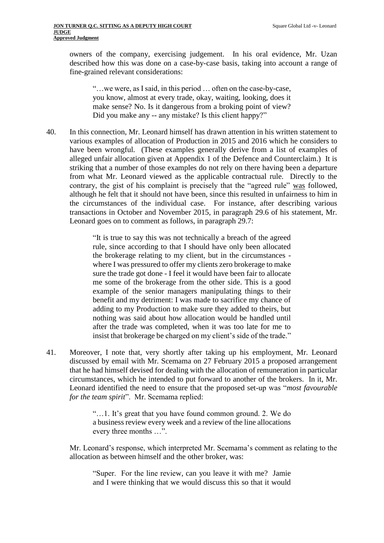owners of the company, exercising judgement. In his oral evidence, Mr. Uzan described how this was done on a case-by-case basis, taking into account a range of fine-grained relevant considerations:

"…we were, as I said, in this period … often on the case-by-case, you know, almost at every trade, okay, waiting, looking, does it make sense? No. Is it dangerous from a broking point of view? Did you make any -- any mistake? Is this client happy?"

40. In this connection, Mr. Leonard himself has drawn attention in his written statement to various examples of allocation of Production in 2015 and 2016 which he considers to have been wrongful. (These examples generally derive from a list of examples of alleged unfair allocation given at Appendix 1 of the Defence and Counterclaim.) It is striking that a number of those examples do not rely on there having been a departure from what Mr. Leonard viewed as the applicable contractual rule. Directly to the contrary, the gist of his complaint is precisely that the "agreed rule" was followed, although he felt that it should not have been, since this resulted in unfairness to him in the circumstances of the individual case. For instance, after describing various transactions in October and November 2015, in paragraph 29.6 of his statement, Mr. Leonard goes on to comment as follows, in paragraph 29.7:

> "It is true to say this was not technically a breach of the agreed rule, since according to that I should have only been allocated the brokerage relating to my client, but in the circumstances where I was pressured to offer my clients zero brokerage to make sure the trade got done - I feel it would have been fair to allocate me some of the brokerage from the other side. This is a good example of the senior managers manipulating things to their benefit and my detriment: I was made to sacrifice my chance of adding to my Production to make sure they added to theirs, but nothing was said about how allocation would be handled until after the trade was completed, when it was too late for me to insist that brokerage be charged on my client's side of the trade."

41. Moreover, I note that, very shortly after taking up his employment, Mr. Leonard discussed by email with Mr. Scemama on 27 February 2015 a proposed arrangement that he had himself devised for dealing with the allocation of remuneration in particular circumstances, which he intended to put forward to another of the brokers. In it, Mr. Leonard identified the need to ensure that the proposed set-up was "*most favourable for the team spirit*". Mr. Scemama replied:

> "…1. It's great that you have found common ground. 2. We do a business review every week and a review of the line allocations every three months …".

Mr. Leonard's response, which interpreted Mr. Scemama's comment as relating to the allocation as between himself and the other broker, was:

"Super. For the line review, can you leave it with me? Jamie and I were thinking that we would discuss this so that it would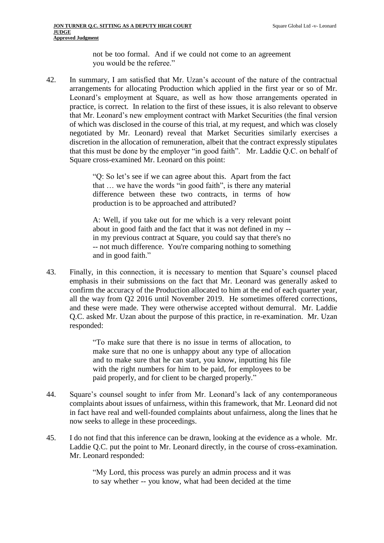not be too formal. And if we could not come to an agreement you would be the referee."

<span id="page-13-0"></span>42. In summary, I am satisfied that Mr. Uzan's account of the nature of the contractual arrangements for allocating Production which applied in the first year or so of Mr. Leonard's employment at Square, as well as how those arrangements operated in practice, is correct. In relation to the first of these issues, it is also relevant to observe that Mr. Leonard's new employment contract with Market Securities (the final version of which was disclosed in the course of this trial, at my request, and which was closely negotiated by Mr. Leonard) reveal that Market Securities similarly exercises a discretion in the allocation of remuneration, albeit that the contract expressly stipulates that this must be done by the employer "in good faith". Mr. Laddie Q.C. on behalf of Square cross-examined Mr. Leonard on this point:

> "Q: So let's see if we can agree about this. Apart from the fact that … we have the words "in good faith", is there any material difference between these two contracts, in terms of how production is to be approached and attributed?

> A: Well, if you take out for me which is a very relevant point about in good faith and the fact that it was not defined in my - in my previous contract at Square, you could say that there's no -- not much difference. You're comparing nothing to something and in good faith."

43. Finally, in this connection, it is necessary to mention that Square's counsel placed emphasis in their submissions on the fact that Mr. Leonard was generally asked to confirm the accuracy of the Production allocated to him at the end of each quarter year, all the way from Q2 2016 until November 2019. He sometimes offered corrections, and these were made. They were otherwise accepted without demurral. Mr. Laddie Q.C. asked Mr. Uzan about the purpose of this practice, in re-examination. Mr. Uzan responded:

> "To make sure that there is no issue in terms of allocation, to make sure that no one is unhappy about any type of allocation and to make sure that he can start, you know, inputting his file with the right numbers for him to be paid, for employees to be paid properly, and for client to be charged properly."

- 44. Square's counsel sought to infer from Mr. Leonard's lack of any contemporaneous complaints about issues of unfairness, within this framework, that Mr. Leonard did not in fact have real and well-founded complaints about unfairness, along the lines that he now seeks to allege in these proceedings.
- 45. I do not find that this inference can be drawn, looking at the evidence as a whole. Mr. Laddie Q.C. put the point to Mr. Leonard directly, in the course of cross-examination. Mr. Leonard responded:

"My Lord, this process was purely an admin process and it was to say whether -- you know, what had been decided at the time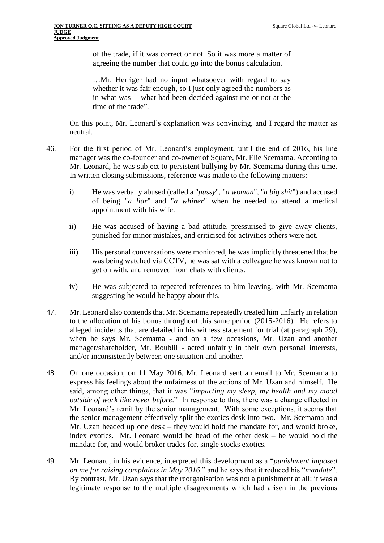of the trade, if it was correct or not. So it was more a matter of agreeing the number that could go into the bonus calculation.

<span id="page-14-0"></span>…Mr. Herriger had no input whatsoever with regard to say whether it was fair enough, so I just only agreed the numbers as in what was -- what had been decided against me or not at the time of the trade".

On this point, Mr. Leonard's explanation was convincing, and I regard the matter as neutral.

- <span id="page-14-1"></span>46. For the first period of Mr. Leonard's employment, until the end of 2016, his line manager was the co-founder and co-owner of Square, Mr. Elie Scemama. According to Mr. Leonard, he was subject to persistent bullying by Mr. Scemama during this time. In written closing submissions, reference was made to the following matters:
	- i) He was verbally abused (called a "*pussy*", "*a woman*", "*a big shit*") and accused of being "*a liar*" and "*a whiner*" when he needed to attend a medical appointment with his wife.
	- ii) He was accused of having a bad attitude, pressurised to give away clients, punished for minor mistakes, and criticised for activities others were not.
	- iii) His personal conversations were monitored, he was implicitly threatened that he was being watched via CCTV, he was sat with a colleague he was known not to get on with, and removed from chats with clients.
	- iv) He was subjected to repeated references to him leaving, with Mr. Scemama suggesting he would be happy about this.
- <span id="page-14-2"></span>47. Mr. Leonard also contends that Mr. Scemama repeatedly treated him unfairly in relation to the allocation of his bonus throughout this same period (2015-2016). He refers to alleged incidents that are detailed in his witness statement for trial (at paragraph 29), when he says Mr. Scemama - and on a few occasions, Mr. Uzan and another manager/shareholder, Mr. Boublil - acted unfairly in their own personal interests, and/or inconsistently between one situation and another.
- 48. On one occasion, on 11 May 2016, Mr. Leonard sent an email to Mr. Scemama to express his feelings about the unfairness of the actions of Mr. Uzan and himself. He said, among other things, that it was "*impacting my sleep, my health and my mood outside of work like never before*." In response to this, there was a change effected in Mr. Leonard's remit by the senior management. With some exceptions, it seems that the senior management effectively split the exotics desk into two. Mr. Scemama and Mr. Uzan headed up one desk – they would hold the mandate for, and would broke, index exotics. Mr. Leonard would be head of the other desk – he would hold the mandate for, and would broker trades for, single stocks exotics.
- 49. Mr. Leonard, in his evidence, interpreted this development as a "*punishment imposed on me for raising complaints in May 2016,*" and he says that it reduced his "*mandate*". By contrast, Mr. Uzan says that the reorganisation was not a punishment at all: it was a legitimate response to the multiple disagreements which had arisen in the previous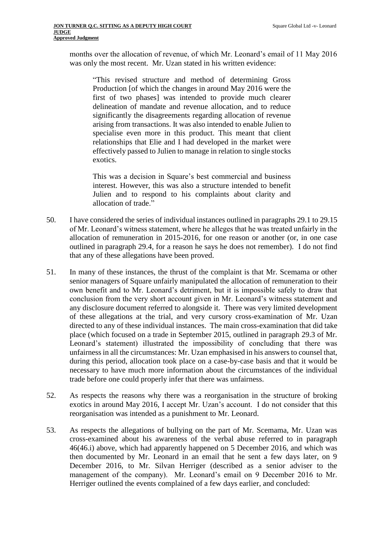months over the allocation of revenue, of which Mr. Leonard's email of 11 May 2016 was only the most recent. Mr. Uzan stated in his written evidence:

"This revised structure and method of determining Gross Production [of which the changes in around May 2016 were the first of two phases] was intended to provide much clearer delineation of mandate and revenue allocation, and to reduce significantly the disagreements regarding allocation of revenue arising from transactions. It was also intended to enable Julien to specialise even more in this product. This meant that client relationships that Elie and I had developed in the market were effectively passed to Julien to manage in relation to single stocks exotics.

This was a decision in Square's best commercial and business interest. However, this was also a structure intended to benefit Julien and to respond to his complaints about clarity and allocation of trade."

- 50. I have considered the series of individual instances outlined in paragraphs 29.1 to 29.15 of Mr. Leonard's witness statement, where he alleges that he was treated unfairly in the allocation of remuneration in 2015-2016, for one reason or another (or, in one case outlined in paragraph 29.4, for a reason he says he does not remember). I do not find that any of these allegations have been proved.
- 51. In many of these instances, the thrust of the complaint is that Mr. Scemama or other senior managers of Square unfairly manipulated the allocation of remuneration to their own benefit and to Mr. Leonard's detriment, but it is impossible safely to draw that conclusion from the very short account given in Mr. Leonard's witness statement and any disclosure document referred to alongside it. There was very limited development of these allegations at the trial, and very cursory cross-examination of Mr. Uzan directed to any of these individual instances. The main cross-examination that did take place (which focused on a trade in September 2015, outlined in paragraph 29.3 of Mr. Leonard's statement) illustrated the impossibility of concluding that there was unfairness in all the circumstances: Mr. Uzan emphasised in his answers to counsel that, during this period, allocation took place on a case-by-case basis and that it would be necessary to have much more information about the circumstances of the individual trade before one could properly infer that there was unfairness.
- <span id="page-15-1"></span>52. As respects the reasons why there was a reorganisation in the structure of broking exotics in around May 2016, I accept Mr. Uzan's account. I do not consider that this reorganisation was intended as a punishment to Mr. Leonard.
- <span id="page-15-0"></span>53. As respects the allegations of bullying on the part of Mr. Scemama, Mr. Uzan was cross-examined about his awareness of the verbal abuse referred to in paragraph [46](#page-14-0)[\(46.i\)](#page-14-1) above, which had apparently happened on 5 December 2016, and which was then documented by Mr. Leonard in an email that he sent a few days later, on 9 December 2016, to Mr. Silvan Herriger (described as a senior adviser to the management of the company). Mr. Leonard's email on 9 December 2016 to Mr. Herriger outlined the events complained of a few days earlier, and concluded: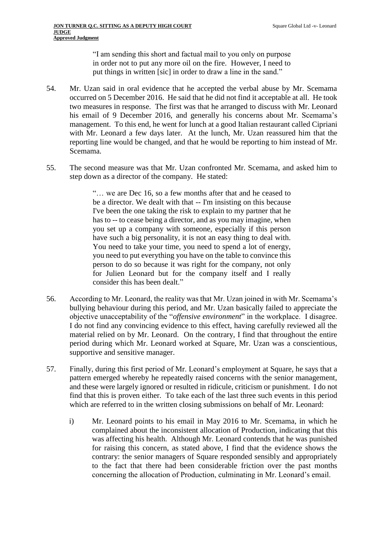"I am sending this short and factual mail to you only on purpose in order not to put any more oil on the fire. However, I need to put things in written [sic] in order to draw a line in the sand."

- 54. Mr. Uzan said in oral evidence that he accepted the verbal abuse by Mr. Scemama occurred on 5 December 2016. He said that he did not find it acceptable at all. He took two measures in response. The first was that he arranged to discuss with Mr. Leonard his email of 9 December 2016, and generally his concerns about Mr. Scemama's management. To this end, he went for lunch at a good Italian restaurant called Cipriani with Mr. Leonard a few days later. At the lunch, Mr. Uzan reassured him that the reporting line would be changed, and that he would be reporting to him instead of Mr. Scemama.
- 55. The second measure was that Mr. Uzan confronted Mr. Scemama, and asked him to step down as a director of the company. He stated:

"… we are Dec 16, so a few months after that and he ceased to be a director. We dealt with that -- I'm insisting on this because I've been the one taking the risk to explain to my partner that he has to -- to cease being a director, and as you may imagine, when you set up a company with someone, especially if this person have such a big personality, it is not an easy thing to deal with. You need to take your time, you need to spend a lot of energy, you need to put everything you have on the table to convince this person to do so because it was right for the company, not only for Julien Leonard but for the company itself and I really consider this has been dealt."

- 56. According to Mr. Leonard, the reality was that Mr. Uzan joined in with Mr. Scemama's bullying behaviour during this period, and Mr. Uzan basically failed to appreciate the objective unacceptability of the "*offensive environment*" in the workplace. I disagree. I do not find any convincing evidence to this effect, having carefully reviewed all the material relied on by Mr. Leonard. On the contrary, I find that throughout the entire period during which Mr. Leonard worked at Square, Mr. Uzan was a conscientious, supportive and sensitive manager.
- <span id="page-16-0"></span>57. Finally, during this first period of Mr. Leonard's employment at Square, he says that a pattern emerged whereby he repeatedly raised concerns with the senior management, and these were largely ignored or resulted in ridicule, criticism or punishment. I do not find that this is proven either. To take each of the last three such events in this period which are referred to in the written closing submissions on behalf of Mr. Leonard:
	- i) Mr. Leonard points to his email in May 2016 to Mr. Scemama, in which he complained about the inconsistent allocation of Production, indicating that this was affecting his health. Although Mr. Leonard contends that he was punished for raising this concern, as stated above, I find that the evidence shows the contrary: the senior managers of Square responded sensibly and appropriately to the fact that there had been considerable friction over the past months concerning the allocation of Production, culminating in Mr. Leonard's email.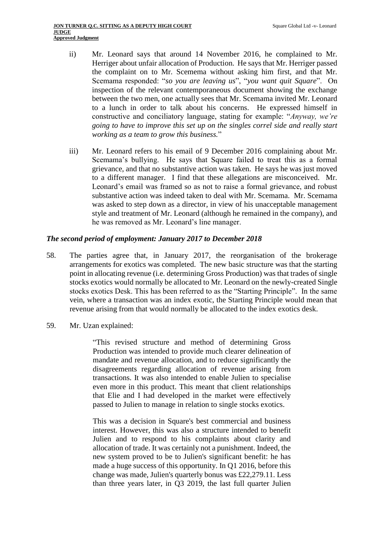- ii) Mr. Leonard says that around 14 November 2016, he complained to Mr. Herriger about unfair allocation of Production. He says that Mr. Herriger passed the complaint on to Mr. Scemema without asking him first, and that Mr. Scemama responded: "*so you are leaving us*", "*you want quit Square*". On inspection of the relevant contemporaneous document showing the exchange between the two men, one actually sees that Mr. Scemama invited Mr. Leonard to a lunch in order to talk about his concerns. He expressed himself in constructive and conciliatory language, stating for example: "*Anyway, we're going to have to improve this set up on the singles correl side and really start working as a team to grow this business.*"
- iii) Mr. Leonard refers to his email of 9 December 2016 complaining about Mr. Scemama's bullying. He says that Square failed to treat this as a formal grievance, and that no substantive action was taken. He says he was just moved to a different manager. I find that these allegations are misconceived. Mr. Leonard's email was framed so as not to raise a formal grievance, and robust substantive action was indeed taken to deal with Mr. Scemama. Mr. Scemama was asked to step down as a director, in view of his unacceptable management style and treatment of Mr. Leonard (although he remained in the company), and he was removed as Mr. Leonard's line manager.

#### *The second period of employment: January 2017 to December 2018*

- <span id="page-17-0"></span>58. The parties agree that, in January 2017, the reorganisation of the brokerage arrangements for exotics was completed. The new basic structure was that the starting point in allocating revenue (i.e. determining Gross Production) was that trades of single stocks exotics would normally be allocated to Mr. Leonard on the newly-created Single stocks exotics Desk. This has been referred to as the "Starting Principle". In the same vein, where a transaction was an index exotic, the Starting Principle would mean that revenue arising from that would normally be allocated to the index exotics desk.
- 59. Mr. Uzan explained:

"This revised structure and method of determining Gross Production was intended to provide much clearer delineation of mandate and revenue allocation, and to reduce significantly the disagreements regarding allocation of revenue arising from transactions. It was also intended to enable Julien to specialise even more in this product. This meant that client relationships that Elie and I had developed in the market were effectively passed to Julien to manage in relation to single stocks exotics.

This was a decision in Square's best commercial and business interest. However, this was also a structure intended to benefit Julien and to respond to his complaints about clarity and allocation of trade. It was certainly not a punishment. Indeed, the new system proved to be to Julien's significant benefit: he has made a huge success of this opportunity. In Q1 2016, before this change was made, Julien's quarterly bonus was £22,279.11. Less than three years later, in Q3 2019, the last full quarter Julien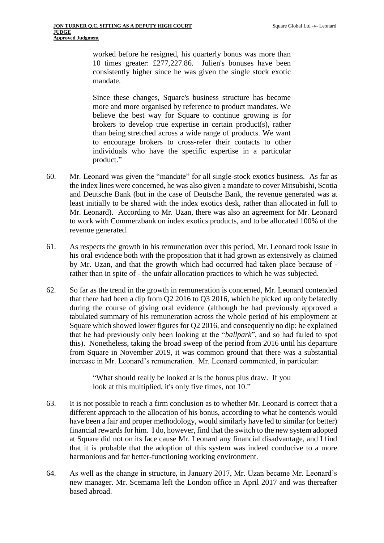worked before he resigned, his quarterly bonus was more than 10 times greater: £277,227.86. Julien's bonuses have been consistently higher since he was given the single stock exotic mandate.

Since these changes, Square's business structure has become more and more organised by reference to product mandates. We believe the best way for Square to continue growing is for brokers to develop true expertise in certain product(s), rather than being stretched across a wide range of products. We want to encourage brokers to cross-refer their contacts to other individuals who have the specific expertise in a particular product."

- 60. Mr. Leonard was given the "mandate" for all single-stock exotics business. As far as the index lines were concerned, he was also given a mandate to cover Mitsubishi, Scotia and Deutsche Bank (but in the case of Deutsche Bank, the revenue generated was at least initially to be shared with the index exotics desk, rather than allocated in full to Mr. Leonard). According to Mr. Uzan, there was also an agreement for Mr. Leonard to work with Commerzbank on index exotics products, and to be allocated 100% of the revenue generated.
- 61. As respects the growth in his remuneration over this period, Mr. Leonard took issue in his oral evidence both with the proposition that it had grown as extensively as claimed by Mr. Uzan, and that the growth which had occurred had taken place because of rather than in spite of - the unfair allocation practices to which he was subjected.
- 62. So far as the trend in the growth in remuneration is concerned, Mr. Leonard contended that there had been a dip from Q2 2016 to Q3 2016, which he picked up only belatedly during the course of giving oral evidence (although he had previously approved a tabulated summary of his remuneration across the whole period of his employment at Square which showed lower figures for Q2 2016, and consequently no dip: he explained that he had previously only been looking at the "*ballpark*", and so had failed to spot this). Nonetheless, taking the broad sweep of the period from 2016 until his departure from Square in November 2019, it was common ground that there was a substantial increase in Mr. Leonard's remuneration. Mr. Leonard commented, in particular:

"What should really be looked at is the bonus plus draw. If you look at this multiplied, it's only five times, not 10."

- <span id="page-18-0"></span>63. It is not possible to reach a firm conclusion as to whether Mr. Leonard is correct that a different approach to the allocation of his bonus, according to what he contends would have been a fair and proper methodology, would similarly have led to similar (or better) financial rewards for him. I do, however, find that the switch to the new system adopted at Square did not on its face cause Mr. Leonard any financial disadvantage, and I find that it is probable that the adoption of this system was indeed conducive to a more harmonious and far better-functioning working environment.
- 64. As well as the change in structure, in January 2017, Mr. Uzan became Mr. Leonard's new manager. Mr. Scemama left the London office in April 2017 and was thereafter based abroad.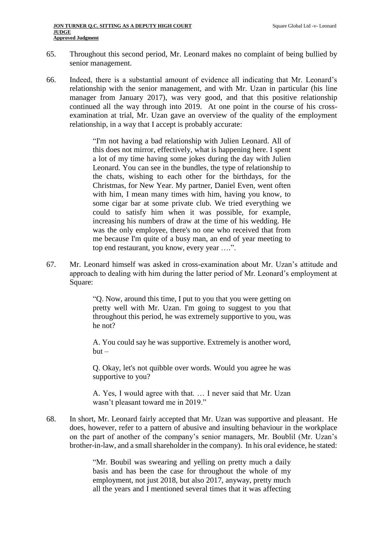- 65. Throughout this second period, Mr. Leonard makes no complaint of being bullied by senior management.
- <span id="page-19-0"></span>66. Indeed, there is a substantial amount of evidence all indicating that Mr. Leonard's relationship with the senior management, and with Mr. Uzan in particular (his line manager from January 2017), was very good, and that this positive relationship continued all the way through into 2019. At one point in the course of his crossexamination at trial, Mr. Uzan gave an overview of the quality of the employment relationship, in a way that I accept is probably accurate:

"I'm not having a bad relationship with Julien Leonard. All of this does not mirror, effectively, what is happening here. I spent a lot of my time having some jokes during the day with Julien Leonard. You can see in the bundles, the type of relationship to the chats, wishing to each other for the birthdays, for the Christmas, for New Year. My partner, Daniel Even, went often with him, I mean many times with him, having you know, to some cigar bar at some private club. We tried everything we could to satisfy him when it was possible, for example, increasing his numbers of draw at the time of his wedding. He was the only employee, there's no one who received that from me because I'm quite of a busy man, an end of year meeting to top end restaurant, you know, every year ….".

<span id="page-19-1"></span>67. Mr. Leonard himself was asked in cross-examination about Mr. Uzan's attitude and approach to dealing with him during the latter period of Mr. Leonard's employment at Square:

> "Q. Now, around this time, I put to you that you were getting on pretty well with Mr. Uzan. I'm going to suggest to you that throughout this period, he was extremely supportive to you, was he not?

> A. You could say he was supportive. Extremely is another word,  $h$ ut  $-$

> Q. Okay, let's not quibble over words. Would you agree he was supportive to you?

> A. Yes, I would agree with that. … I never said that Mr. Uzan wasn't pleasant toward me in 2019."

68. In short, Mr. Leonard fairly accepted that Mr. Uzan was supportive and pleasant. He does, however, refer to a pattern of abusive and insulting behaviour in the workplace on the part of another of the company's senior managers, Mr. Boublil (Mr. Uzan's brother-in-law, and a small shareholder in the company). In his oral evidence, he stated:

> "Mr. Boubil was swearing and yelling on pretty much a daily basis and has been the case for throughout the whole of my employment, not just 2018, but also 2017, anyway, pretty much all the years and I mentioned several times that it was affecting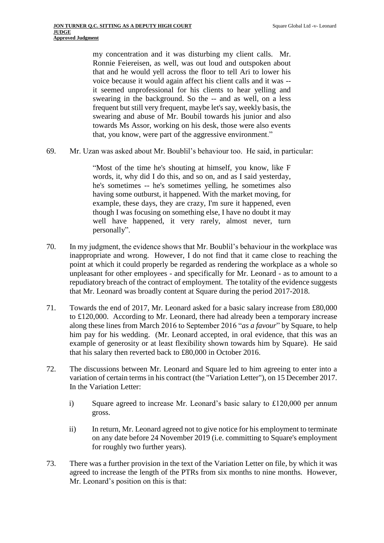my concentration and it was disturbing my client calls. Mr. Ronnie Feiereisen, as well, was out loud and outspoken about that and he would yell across the floor to tell Ari to lower his voice because it would again affect his client calls and it was - it seemed unprofessional for his clients to hear yelling and swearing in the background. So the -- and as well, on a less frequent but still very frequent, maybe let's say, weekly basis, the swearing and abuse of Mr. Boubil towards his junior and also towards Ms Assor, working on his desk, those were also events that, you know, were part of the aggressive environment."

69. Mr. Uzan was asked about Mr. Boublil's behaviour too. He said, in particular:

"Most of the time he's shouting at himself, you know, like F words, it, why did I do this, and so on, and as I said yesterday, he's sometimes -- he's sometimes yelling, he sometimes also having some outburst, it happened. With the market moving, for example, these days, they are crazy, I'm sure it happened, even though I was focusing on something else, I have no doubt it may well have happened, it very rarely, almost never, turn personally".

- 70. In my judgment, the evidence shows that Mr. Boublil's behaviour in the workplace was inappropriate and wrong. However, I do not find that it came close to reaching the point at which it could properly be regarded as rendering the workplace as a whole so unpleasant for other employees - and specifically for Mr. Leonard - as to amount to a repudiatory breach of the contract of employment. The totality of the evidence suggests that Mr. Leonard was broadly content at Square during the period 2017-2018.
- <span id="page-20-0"></span>71. Towards the end of 2017, Mr. Leonard asked for a basic salary increase from £80,000 to £120,000. According to Mr. Leonard, there had already been a temporary increase along these lines from March 2016 to September 2016 "*as a favour*" by Square, to help him pay for his wedding. (Mr. Leonard accepted, in oral evidence, that this was an example of generosity or at least flexibility shown towards him by Square). He said that his salary then reverted back to £80,000 in October 2016.
- 72. The discussions between Mr. Leonard and Square led to him agreeing to enter into a variation of certain terms in his contract (the "Variation Letter"), on 15 December 2017. In the Variation Letter:
	- i) Square agreed to increase Mr. Leonard's basic salary to £120,000 per annum gross.
	- ii) In return, Mr. Leonard agreed not to give notice for his employment to terminate on any date before 24 November 2019 (i.e. committing to Square's employment for roughly two further years).
- 73. There was a further provision in the text of the Variation Letter on file, by which it was agreed to increase the length of the PTRs from six months to nine months. However, Mr. Leonard's position on this is that: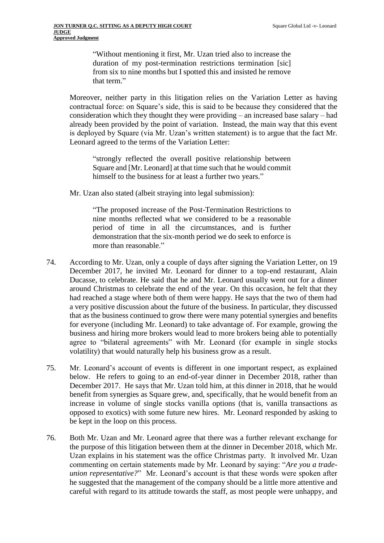"Without mentioning it first, Mr. Uzan tried also to increase the duration of my post-termination restrictions termination [sic] from six to nine months but I spotted this and insisted he remove that term."

Moreover, neither party in this litigation relies on the Variation Letter as having contractual force: on Square's side, this is said to be because they considered that the consideration which they thought they were providing – an increased base salary – had already been provided by the point of variation. Instead, the main way that this event is deployed by Square (via Mr. Uzan's written statement) is to argue that the fact Mr. Leonard agreed to the terms of the Variation Letter:

"strongly reflected the overall positive relationship between Square and [Mr. Leonard] at that time such that he would commit himself to the business for at least a further two years."

Mr. Uzan also stated (albeit straying into legal submission):

"The proposed increase of the Post-Termination Restrictions to nine months reflected what we considered to be a reasonable period of time in all the circumstances, and is further demonstration that the six-month period we do seek to enforce is more than reasonable."

- <span id="page-21-0"></span>74. According to Mr. Uzan, only a couple of days after signing the Variation Letter, on 19 December 2017, he invited Mr. Leonard for dinner to a top-end restaurant, Alain Ducasse, to celebrate. He said that he and Mr. Leonard usually went out for a dinner around Christmas to celebrate the end of the year. On this occasion, he felt that they had reached a stage where both of them were happy. He says that the two of them had a very positive discussion about the future of the business. In particular, they discussed that as the business continued to grow there were many potential synergies and benefits for everyone (including Mr. Leonard) to take advantage of. For example, growing the business and hiring more brokers would lead to more brokers being able to potentially agree to "bilateral agreements" with Mr. Leonard (for example in single stocks volatility) that would naturally help his business grow as a result.
- 75. Mr. Leonard's account of events is different in one important respect, as explained below. He refers to going to an end-of-year dinner in December 2018, rather than December 2017. He says that Mr. Uzan told him, at this dinner in 2018, that he would benefit from synergies as Square grew, and, specifically, that he would benefit from an increase in volume of single stocks vanilla options (that is, vanilla transactions as opposed to exotics) with some future new hires. Mr. Leonard responded by asking to be kept in the loop on this process.
- <span id="page-21-1"></span>76. Both Mr. Uzan and Mr. Leonard agree that there was a further relevant exchange for the purpose of this litigation between them at the dinner in December 2018, which Mr. Uzan explains in his statement was the office Christmas party. It involved Mr. Uzan commenting on certain statements made by Mr. Leonard by saying: "*Are you a tradeunion representative?*" Mr. Leonard's account is that these words were spoken after he suggested that the management of the company should be a little more attentive and careful with regard to its attitude towards the staff, as most people were unhappy, and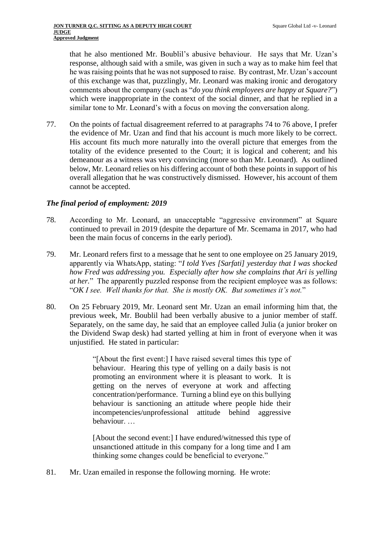that he also mentioned Mr. Boublil's abusive behaviour. He says that Mr. Uzan's response, although said with a smile, was given in such a way as to make him feel that he was raising points that he was not supposed to raise. By contrast, Mr. Uzan's account of this exchange was that, puzzlingly, Mr. Leonard was making ironic and derogatory comments about the company (such as "*do you think employees are happy at Square?*") which were inappropriate in the context of the social dinner, and that he replied in a similar tone to Mr. Leonard's with a focus on moving the conversation along.

77. On the points of factual disagreement referred to at paragraphs [74](#page-21-0) to [76](#page-21-1) above, I prefer the evidence of Mr. Uzan and find that his account is much more likely to be correct. His account fits much more naturally into the overall picture that emerges from the totality of the evidence presented to the Court; it is logical and coherent; and his demeanour as a witness was very convincing (more so than Mr. Leonard). As outlined below, Mr. Leonard relies on his differing account of both these points in support of his overall allegation that he was constructively dismissed. However, his account of them cannot be accepted.

### *The final period of employment: 2019*

- <span id="page-22-0"></span>78. According to Mr. Leonard, an unacceptable "aggressive environment" at Square continued to prevail in 2019 (despite the departure of Mr. Scemama in 2017, who had been the main focus of concerns in the early period).
- 79. Mr. Leonard refers first to a message that he sent to one employee on 25 January 2019, apparently via WhatsApp, stating: "*I told Yves [Sarfati] yesterday that I was shocked how Fred was addressing you. Especially after how she complains that Ari is yelling at her.*" The apparently puzzled response from the recipient employee was as follows: "*OK I see. Well thanks for that. She is mostly OK. But sometimes it's not.*"
- 80. On 25 February 2019, Mr. Leonard sent Mr. Uzan an email informing him that, the previous week, Mr. Boublil had been verbally abusive to a junior member of staff. Separately, on the same day, he said that an employee called Julia (a junior broker on the Dividend Swap desk) had started yelling at him in front of everyone when it was unjustified. He stated in particular:

"[About the first event:] I have raised several times this type of behaviour. Hearing this type of yelling on a daily basis is not promoting an environment where it is pleasant to work. It is getting on the nerves of everyone at work and affecting concentration/performance. Turning a blind eye on this bullying behaviour is sanctioning an attitude where people hide their incompetencies/unprofessional attitude behind aggressive behaviour. …

[About the second event:] I have endured/witnessed this type of unsanctioned attitude in this company for a long time and I am thinking some changes could be beneficial to everyone."

81. Mr. Uzan emailed in response the following morning. He wrote: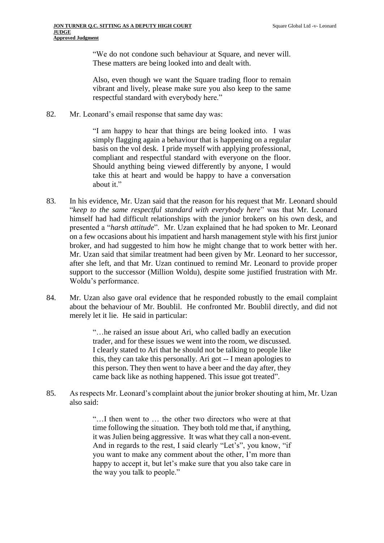"We do not condone such behaviour at Square, and never will. These matters are being looked into and dealt with.

Also, even though we want the Square trading floor to remain vibrant and lively, please make sure you also keep to the same respectful standard with everybody here."

82. Mr. Leonard's email response that same day was:

"I am happy to hear that things are being looked into. I was simply flagging again a behaviour that is happening on a regular basis on the vol desk. I pride myself with applying professional, compliant and respectful standard with everyone on the floor. Should anything being viewed differently by anyone, I would take this at heart and would be happy to have a conversation about it."

- 83. In his evidence, Mr. Uzan said that the reason for his request that Mr. Leonard should "*keep to the same respectful standard with everybody here*" was that Mr. Leonard himself had had difficult relationships with the junior brokers on his own desk, and presented a "*harsh attitude*". Mr. Uzan explained that he had spoken to Mr. Leonard on a few occasions about his impatient and harsh management style with his first junior broker, and had suggested to him how he might change that to work better with her. Mr. Uzan said that similar treatment had been given by Mr. Leonard to her successor, after she left, and that Mr. Uzan continued to remind Mr. Leonard to provide proper support to the successor (Million Woldu), despite some justified frustration with Mr. Woldu's performance.
- <span id="page-23-0"></span>84. Mr. Uzan also gave oral evidence that he responded robustly to the email complaint about the behaviour of Mr. Boublil. He confronted Mr. Boublil directly, and did not merely let it lie. He said in particular:

"…he raised an issue about Ari, who called badly an execution trader, and for these issues we went into the room, we discussed. I clearly stated to Ari that he should not be talking to people like this, they can take this personally. Ari got -- I mean apologies to this person. They then went to have a beer and the day after, they came back like as nothing happened. This issue got treated".

85. As respects Mr. Leonard's complaint about the junior broker shouting at him, Mr. Uzan also said:

> "…I then went to … the other two directors who were at that time following the situation. They both told me that, if anything, it was Julien being aggressive. It was what they call a non-event. And in regards to the rest, I said clearly "Let's", you know, "if you want to make any comment about the other, I'm more than happy to accept it, but let's make sure that you also take care in the way you talk to people."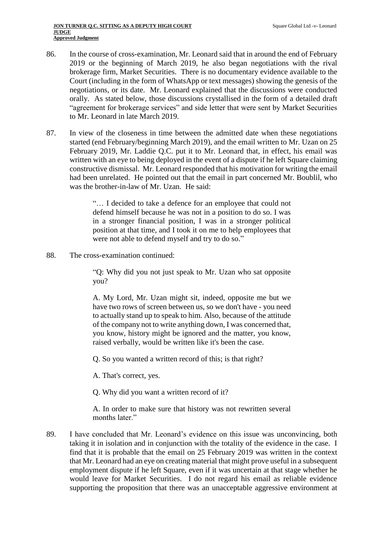- 86. In the course of cross-examination, Mr. Leonard said that in around the end of February 2019 or the beginning of March 2019, he also began negotiations with the rival brokerage firm, Market Securities. There is no documentary evidence available to the Court (including in the form of WhatsApp or text messages) showing the genesis of the negotiations, or its date. Mr. Leonard explained that the discussions were conducted orally. As stated below, those discussions crystallised in the form of a detailed draft "agreement for brokerage services" and side letter that were sent by Market Securities to Mr. Leonard in late March 2019.
- 87. In view of the closeness in time between the admitted date when these negotiations started (end February/beginning March 2019), and the email written to Mr. Uzan on 25 February 2019, Mr. Laddie Q.C. put it to Mr. Leonard that, in effect, his email was written with an eye to being deployed in the event of a dispute if he left Square claiming constructive dismissal. Mr. Leonard responded that his motivation for writing the email had been unrelated. He pointed out that the email in part concerned Mr. Boublil, who was the brother-in-law of Mr. Uzan. He said:

"… I decided to take a defence for an employee that could not defend himself because he was not in a position to do so. I was in a stronger financial position, I was in a stronger political position at that time, and I took it on me to help employees that were not able to defend myself and try to do so."

88. The cross-examination continued:

"Q: Why did you not just speak to Mr. Uzan who sat opposite you?

A. My Lord, Mr. Uzan might sit, indeed, opposite me but we have two rows of screen between us, so we don't have - you need to actually stand up to speak to him. Also, because of the attitude of the company not to write anything down, I was concerned that, you know, history might be ignored and the matter, you know, raised verbally, would be written like it's been the case.

Q. So you wanted a written record of this; is that right?

A. That's correct, yes.

Q. Why did you want a written record of it?

A. In order to make sure that history was not rewritten several months later."

<span id="page-24-0"></span>89. I have concluded that Mr. Leonard's evidence on this issue was unconvincing, both taking it in isolation and in conjunction with the totality of the evidence in the case. I find that it is probable that the email on 25 February 2019 was written in the context that Mr. Leonard had an eye on creating material that might prove useful in a subsequent employment dispute if he left Square, even if it was uncertain at that stage whether he would leave for Market Securities. I do not regard his email as reliable evidence supporting the proposition that there was an unacceptable aggressive environment at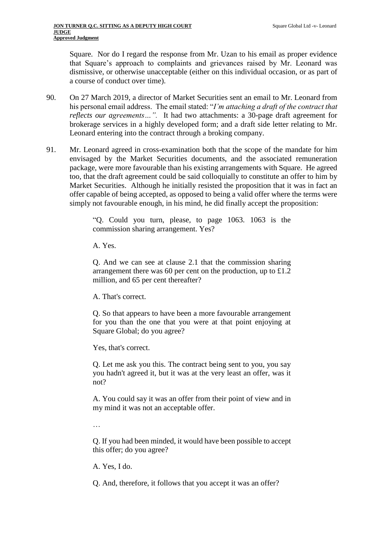Square. Nor do I regard the response from Mr. Uzan to his email as proper evidence that Square's approach to complaints and grievances raised by Mr. Leonard was dismissive, or otherwise unacceptable (either on this individual occasion, or as part of a course of conduct over time).

- 90. On 27 March 2019, a director of Market Securities sent an email to Mr. Leonard from his personal email address. The email stated: "*I'm attaching a draft of the contract that reflects our agreements…".* It had two attachments: a 30-page draft agreement for brokerage services in a highly developed form; and a draft side letter relating to Mr. Leonard entering into the contract through a broking company.
- 91. Mr. Leonard agreed in cross-examination both that the scope of the mandate for him envisaged by the Market Securities documents, and the associated remuneration package, were more favourable than his existing arrangements with Square. He agreed too, that the draft agreement could be said colloquially to constitute an offer to him by Market Securities. Although he initially resisted the proposition that it was in fact an offer capable of being accepted, as opposed to being a valid offer where the terms were simply not favourable enough, in his mind, he did finally accept the proposition:

"Q. Could you turn, please, to page 1063. 1063 is the commission sharing arrangement. Yes?

A. Yes.

Q. And we can see at clause 2.1 that the commission sharing arrangement there was 60 per cent on the production, up to £1.2 million, and 65 per cent thereafter?

A. That's correct.

Q. So that appears to have been a more favourable arrangement for you than the one that you were at that point enjoying at Square Global; do you agree?

Yes, that's correct.

Q. Let me ask you this. The contract being sent to you, you say you hadn't agreed it, but it was at the very least an offer, was it not?

A. You could say it was an offer from their point of view and in my mind it was not an acceptable offer.

…

Q. If you had been minded, it would have been possible to accept this offer; do you agree?

A. Yes, I do.

Q. And, therefore, it follows that you accept it was an offer?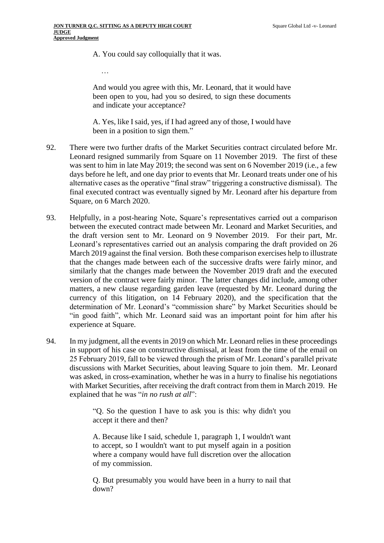A. You could say colloquially that it was.

…

And would you agree with this, Mr. Leonard, that it would have been open to you, had you so desired, to sign these documents and indicate your acceptance?

A. Yes, like I said, yes, if I had agreed any of those, I would have been in a position to sign them."

- 92. There were two further drafts of the Market Securities contract circulated before Mr. Leonard resigned summarily from Square on 11 November 2019. The first of these was sent to him in late May 2019; the second was sent on 6 November 2019 (i.e., a few days before he left, and one day prior to events that Mr. Leonard treats under one of his alternative cases as the operative "final straw" triggering a constructive dismissal). The final executed contract was eventually signed by Mr. Leonard after his departure from Square, on 6 March 2020.
- 93. Helpfully, in a post-hearing Note, Square's representatives carried out a comparison between the executed contract made between Mr. Leonard and Market Securities, and the draft version sent to Mr. Leonard on 9 November 2019. For their part, Mr. Leonard's representatives carried out an analysis comparing the draft provided on 26 March 2019 against the final version. Both these comparison exercises help to illustrate that the changes made between each of the successive drafts were fairly minor, and similarly that the changes made between the November 2019 draft and the executed version of the contract were fairly minor. The latter changes did include, among other matters, a new clause regarding garden leave (requested by Mr. Leonard during the currency of this litigation, on 14 February 2020), and the specification that the determination of Mr. Leonard's "commission share" by Market Securities should be "in good faith", which Mr. Leonard said was an important point for him after his experience at Square.
- <span id="page-26-0"></span>94. In my judgment, all the events in 2019 on which Mr. Leonard relies in these proceedings in support of his case on constructive dismissal, at least from the time of the email on 25 February 2019, fall to be viewed through the prism of Mr. Leonard's parallel private discussions with Market Securities, about leaving Square to join them. Mr. Leonard was asked, in cross-examination, whether he was in a hurry to finalise his negotiations with Market Securities, after receiving the draft contract from them in March 2019. He explained that he was "*in no rush at all*":

"Q. So the question I have to ask you is this: why didn't you accept it there and then?

A. Because like I said, schedule 1, paragraph 1, I wouldn't want to accept, so I wouldn't want to put myself again in a position where a company would have full discretion over the allocation of my commission.

Q. But presumably you would have been in a hurry to nail that down?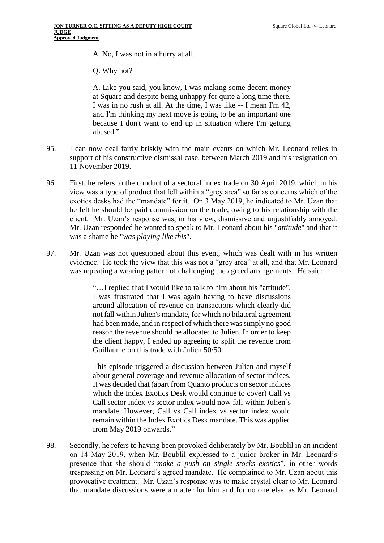A. No, I was not in a hurry at all.

Q. Why not?

A. Like you said, you know, I was making some decent money at Square and despite being unhappy for quite a long time there, I was in no rush at all. At the time, I was like -- I mean I'm 42, and I'm thinking my next move is going to be an important one because I don't want to end up in situation where I'm getting abused."

- <span id="page-27-0"></span>95. I can now deal fairly briskly with the main events on which Mr. Leonard relies in support of his constructive dismissal case, between March 2019 and his resignation on 11 November 2019.
- 96. First, he refers to the conduct of a sectoral index trade on 30 April 2019, which in his view was a type of product that fell within a "grey area" so far as concerns which of the exotics desks had the "mandate" for it. On 3 May 2019, he indicated to Mr. Uzan that he felt he should be paid commission on the trade, owing to his relationship with the client. Mr. Uzan's response was, in his view, dismissive and unjustifiably annoyed. Mr. Uzan responded he wanted to speak to Mr. Leonard about his "*attitude*" and that it was a shame he "*was playing like this*".
- 97. Mr. Uzan was not questioned about this event, which was dealt with in his written evidence. He took the view that this was not a "grey area" at all, and that Mr. Leonard was repeating a wearing pattern of challenging the agreed arrangements. He said:

"…I replied that I would like to talk to him about his "attitude". I was frustrated that I was again having to have discussions around allocation of revenue on transactions which clearly did not fall within Julien's mandate, for which no bilateral agreement had been made, and in respect of which there was simply no good reason the revenue should be allocated to Julien. In order to keep the client happy, I ended up agreeing to split the revenue from Guillaume on this trade with Julien 50/50.

This episode triggered a discussion between Julien and myself about general coverage and revenue allocation of sector indices. It was decided that (apart from Quanto products on sector indices which the Index Exotics Desk would continue to cover) Call vs Call sector index vs sector index would now fall within Julien's mandate. However, Call vs Call index vs sector index would remain within the Index Exotics Desk mandate. This was applied from May 2019 onwards."

<span id="page-27-1"></span>98. Secondly, he refers to having been provoked deliberately by Mr. Boublil in an incident on 14 May 2019, when Mr. Boublil expressed to a junior broker in Mr. Leonard's presence that she should "*make a push on single stocks exotics*", in other words trespassing on Mr. Leonard's agreed mandate. He complained to Mr. Uzan about this provocative treatment. Mr. Uzan's response was to make crystal clear to Mr. Leonard that mandate discussions were a matter for him and for no one else, as Mr. Leonard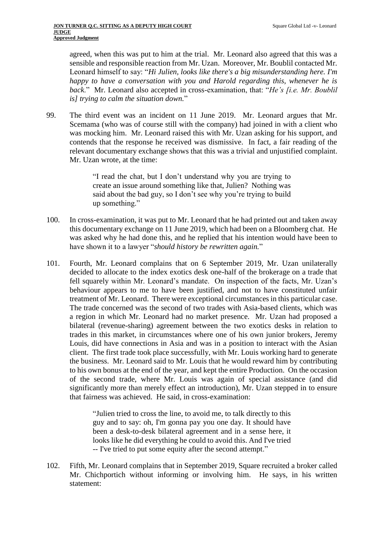agreed, when this was put to him at the trial. Mr. Leonard also agreed that this was a sensible and responsible reaction from Mr. Uzan. Moreover, Mr. Boublil contacted Mr. Leonard himself to say: "*Hi Julien, looks like there's a big misunderstanding here. I'm happy to have a conversation with you and Harold regarding this, whenever he is back*." Mr. Leonard also accepted in cross-examination, that: "*He's [i.e. Mr. Boublil is] trying to calm the situation down.*"

99. The third event was an incident on 11 June 2019. Mr. Leonard argues that Mr. Scemama (who was of course still with the company) had joined in with a client who was mocking him. Mr. Leonard raised this with Mr. Uzan asking for his support, and contends that the response he received was dismissive. In fact, a fair reading of the relevant documentary exchange shows that this was a trivial and unjustified complaint. Mr. Uzan wrote, at the time:

> "I read the chat, but I don't understand why you are trying to create an issue around something like that, Julien? Nothing was said about the bad guy, so I don't see why you're trying to build up something."

- 100. In cross-examination, it was put to Mr. Leonard that he had printed out and taken away this documentary exchange on 11 June 2019, which had been on a Bloomberg chat. He was asked why he had done this, and he replied that his intention would have been to have shown it to a lawyer "*should history be rewritten again.*"
- 101. Fourth, Mr. Leonard complains that on 6 September 2019, Mr. Uzan unilaterally decided to allocate to the index exotics desk one-half of the brokerage on a trade that fell squarely within Mr. Leonard's mandate. On inspection of the facts, Mr. Uzan's behaviour appears to me to have been justified, and not to have constituted unfair treatment of Mr. Leonard. There were exceptional circumstances in this particular case. The trade concerned was the second of two trades with Asia-based clients, which was a region in which Mr. Leonard had no market presence. Mr. Uzan had proposed a bilateral (revenue-sharing) agreement between the two exotics desks in relation to trades in this market, in circumstances where one of his own junior brokers, Jeremy Louis, did have connections in Asia and was in a position to interact with the Asian client. The first trade took place successfully, with Mr. Louis working hard to generate the business. Mr. Leonard said to Mr. Louis that he would reward him by contributing to his own bonus at the end of the year, and kept the entire Production. On the occasion of the second trade, where Mr. Louis was again of special assistance (and did significantly more than merely effect an introduction), Mr. Uzan stepped in to ensure that fairness was achieved. He said, in cross-examination:

"Julien tried to cross the line, to avoid me, to talk directly to this guy and to say: oh, I'm gonna pay you one day. It should have been a desk-to-desk bilateral agreement and in a sense here, it looks like he did everything he could to avoid this. And I've tried -- I've tried to put some equity after the second attempt."

102. Fifth, Mr. Leonard complains that in September 2019, Square recruited a broker called Mr. Chichportich without informing or involving him. He says, in his written statement: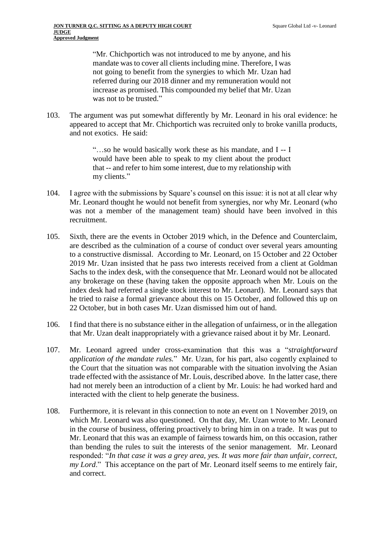"Mr. Chichportich was not introduced to me by anyone, and his mandate was to cover all clients including mine. Therefore, I was not going to benefit from the synergies to which Mr. Uzan had referred during our 2018 dinner and my remuneration would not increase as promised. This compounded my belief that Mr. Uzan was not to be trusted."

103. The argument was put somewhat differently by Mr. Leonard in his oral evidence: he appeared to accept that Mr. Chichportich was recruited only to broke vanilla products, and not exotics. He said:

> "…so he would basically work these as his mandate, and I -- I would have been able to speak to my client about the product that -- and refer to him some interest, due to my relationship with my clients."

- <span id="page-29-1"></span>104. I agree with the submissions by Square's counsel on this issue: it is not at all clear why Mr. Leonard thought he would not benefit from synergies, nor why Mr. Leonard (who was not a member of the management team) should have been involved in this recruitment.
- <span id="page-29-0"></span>105. Sixth, there are the events in October 2019 which, in the Defence and Counterclaim, are described as the culmination of a course of conduct over several years amounting to a constructive dismissal. According to Mr. Leonard, on 15 October and 22 October 2019 Mr. Uzan insisted that he pass two interests received from a client at Goldman Sachs to the index desk, with the consequence that Mr. Leonard would not be allocated any brokerage on these (having taken the opposite approach when Mr. Louis on the index desk had referred a single stock interest to Mr. Leonard). Mr. Leonard says that he tried to raise a formal grievance about this on 15 October, and followed this up on 22 October, but in both cases Mr. Uzan dismissed him out of hand.
- 106. I find that there is no substance either in the allegation of unfairness, or in the allegation that Mr. Uzan dealt inappropriately with a grievance raised about it by Mr. Leonard.
- 107. Mr. Leonard agreed under cross-examination that this was a "*straightforward application of the mandate rules.*" Mr. Uzan, for his part, also cogently explained to the Court that the situation was not comparable with the situation involving the Asian trade effected with the assistance of Mr. Louis, described above. In the latter case, there had not merely been an introduction of a client by Mr. Louis: he had worked hard and interacted with the client to help generate the business.
- <span id="page-29-2"></span>108. Furthermore, it is relevant in this connection to note an event on 1 November 2019, on which Mr. Leonard was also questioned. On that day, Mr. Uzan wrote to Mr. Leonard in the course of business, offering proactively to bring him in on a trade. It was put to Mr. Leonard that this was an example of fairness towards him, on this occasion, rather than bending the rules to suit the interests of the senior management. Mr. Leonard responded: "*In that case it was a grey area, yes. It was more fair than unfair, correct, my Lord*." This acceptance on the part of Mr. Leonard itself seems to me entirely fair, and correct.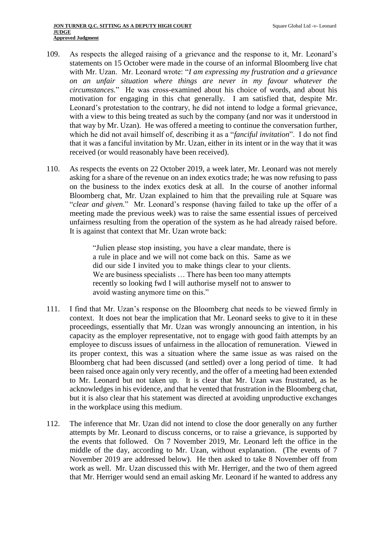- 109. As respects the alleged raising of a grievance and the response to it, Mr. Leonard's statements on 15 October were made in the course of an informal Bloomberg live chat with Mr. Uzan. Mr. Leonard wrote: "*I am expressing my frustration and a grievance on an unfair situation where things are never in my favour whatever the circumstances.*" He was cross-examined about his choice of words, and about his motivation for engaging in this chat generally. I am satisfied that, despite Mr. Leonard's protestation to the contrary, he did not intend to lodge a formal grievance, with a view to this being treated as such by the company (and nor was it understood in that way by Mr. Uzan). He was offered a meeting to continue the conversation further, which he did not avail himself of, describing it as a "*fanciful invitation*". I do not find that it was a fanciful invitation by Mr. Uzan, either in its intent or in the way that it was received (or would reasonably have been received).
- 110. As respects the events on 22 October 2019, a week later, Mr. Leonard was not merely asking for a share of the revenue on an index exotics trade; he was now refusing to pass on the business to the index exotics desk at all. In the course of another informal Bloomberg chat, Mr. Uzan explained to him that the prevailing rule at Square was "*clear and given.*" Mr. Leonard's response (having failed to take up the offer of a meeting made the previous week) was to raise the same essential issues of perceived unfairness resulting from the operation of the system as he had already raised before. It is against that context that Mr. Uzan wrote back:

"Julien please stop insisting, you have a clear mandate, there is a rule in place and we will not come back on this. Same as we did our side I invited you to make things clear to your clients. We are business specialists ... There has been too many attempts recently so looking fwd I will authorise myself not to answer to avoid wasting anymore time on this."

- 111. I find that Mr. Uzan's response on the Bloomberg chat needs to be viewed firmly in context. It does not bear the implication that Mr. Leonard seeks to give to it in these proceedings, essentially that Mr. Uzan was wrongly announcing an intention, in his capacity as the employer representative, not to engage with good faith attempts by an employee to discuss issues of unfairness in the allocation of remuneration. Viewed in its proper context, this was a situation where the same issue as was raised on the Bloomberg chat had been discussed (and settled) over a long period of time. It had been raised once again only very recently, and the offer of a meeting had been extended to Mr. Leonard but not taken up. It is clear that Mr. Uzan was frustrated, as he acknowledges in his evidence, and that he vented that frustration in the Bloomberg chat, but it is also clear that his statement was directed at avoiding unproductive exchanges in the workplace using this medium.
- 112. The inference that Mr. Uzan did not intend to close the door generally on any further attempts by Mr. Leonard to discuss concerns, or to raise a grievance, is supported by the events that followed. On 7 November 2019, Mr. Leonard left the office in the middle of the day, according to Mr. Uzan, without explanation. (The events of 7 November 2019 are addressed below). He then asked to take 8 November off from work as well. Mr. Uzan discussed this with Mr. Herriger, and the two of them agreed that Mr. Herriger would send an email asking Mr. Leonard if he wanted to address any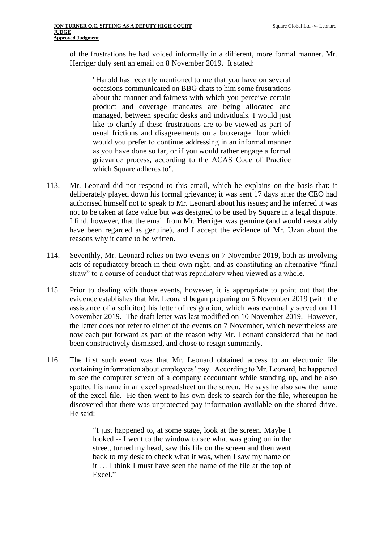of the frustrations he had voiced informally in a different, more formal manner. Mr. Herriger duly sent an email on 8 November 2019. It stated:

"Harold has recently mentioned to me that you have on several occasions communicated on BBG chats to him some frustrations about the manner and fairness with which you perceive certain product and coverage mandates are being allocated and managed, between specific desks and individuals. I would just like to clarify if these frustrations are to be viewed as part of usual frictions and disagreements on a brokerage floor which would you prefer to continue addressing in an informal manner as you have done so far, or if you would rather engage a formal grievance process, according to the ACAS Code of Practice which Square adheres to".

- <span id="page-31-0"></span>113. Mr. Leonard did not respond to this email, which he explains on the basis that: it deliberately played down his formal grievance; it was sent 17 days after the CEO had authorised himself not to speak to Mr. Leonard about his issues; and he inferred it was not to be taken at face value but was designed to be used by Square in a legal dispute. I find, however, that the email from Mr. Herriger was genuine (and would reasonably have been regarded as genuine), and I accept the evidence of Mr. Uzan about the reasons why it came to be written.
- 114. Seventhly, Mr. Leonard relies on two events on 7 November 2019, both as involving acts of repudiatory breach in their own right, and as constituting an alternative "final straw" to a course of conduct that was repudiatory when viewed as a whole.
- 115. Prior to dealing with those events, however, it is appropriate to point out that the evidence establishes that Mr. Leonard began preparing on 5 November 2019 (with the assistance of a solicitor) his letter of resignation, which was eventually served on 11 November 2019. The draft letter was last modified on 10 November 2019. However, the letter does not refer to either of the events on 7 November, which nevertheless are now each put forward as part of the reason why Mr. Leonard considered that he had been constructively dismissed, and chose to resign summarily.
- 116. The first such event was that Mr. Leonard obtained access to an electronic file containing information about employees' pay. According to Mr. Leonard, he happened to see the computer screen of a company accountant while standing up, and he also spotted his name in an excel spreadsheet on the screen. He says he also saw the name of the excel file. He then went to his own desk to search for the file, whereupon he discovered that there was unprotected pay information available on the shared drive. He said:

"I just happened to, at some stage, look at the screen. Maybe I looked -- I went to the window to see what was going on in the street, turned my head, saw this file on the screen and then went back to my desk to check what it was, when I saw my name on it … I think I must have seen the name of the file at the top of Excel."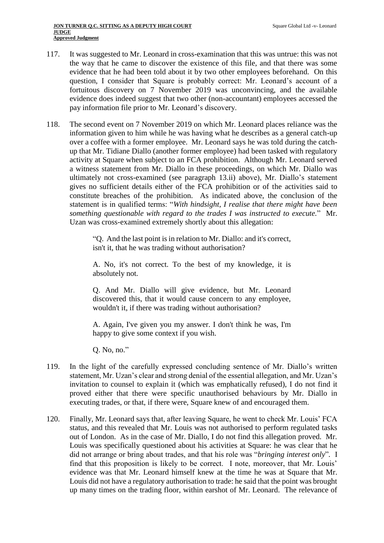- 117. It was suggested to Mr. Leonard in cross-examination that this was untrue: this was not the way that he came to discover the existence of this file, and that there was some evidence that he had been told about it by two other employees beforehand. On this question, I consider that Square is probably correct: Mr. Leonard's account of a fortuitous discovery on 7 November 2019 was unconvincing, and the available evidence does indeed suggest that two other (non-accountant) employees accessed the pay information file prior to Mr. Leonard's discovery.
- <span id="page-32-0"></span>118. The second event on 7 November 2019 on which Mr. Leonard places reliance was the information given to him while he was having what he describes as a general catch-up over a coffee with a former employee. Mr. Leonard says he was told during the catchup that Mr. Tidiane Diallo (another former employee) had been tasked with regulatory activity at Square when subject to an FCA prohibition. Although Mr. Leonard served a witness statement from Mr. Diallo in these proceedings, on which Mr. Diallo was ultimately not cross-examined (see paragraph [13.ii\)](#page-4-0) above), Mr. Diallo's statement gives no sufficient details either of the FCA prohibition or of the activities said to constitute breaches of the prohibition. As indicated above, the conclusion of the statement is in qualified terms: "*With hindsight, I realise that there might have been something questionable with regard to the trades I was instructed to execute.*" Mr. Uzan was cross-examined extremely shortly about this allegation:

"Q. And the last point is in relation to Mr. Diallo: and it's correct, isn't it, that he was trading without authorisation?

A. No, it's not correct. To the best of my knowledge, it is absolutely not.

Q. And Mr. Diallo will give evidence, but Mr. Leonard discovered this, that it would cause concern to any employee, wouldn't it, if there was trading without authorisation?

A. Again, I've given you my answer. I don't think he was, I'm happy to give some context if you wish.

Q. No, no."

- 119. In the light of the carefully expressed concluding sentence of Mr. Diallo's written statement, Mr. Uzan's clear and strong denial of the essential allegation, and Mr. Uzan's invitation to counsel to explain it (which was emphatically refused), I do not find it proved either that there were specific unauthorised behaviours by Mr. Diallo in executing trades, or that, if there were, Square knew of and encouraged them.
- <span id="page-32-1"></span>120. Finally, Mr. Leonard says that, after leaving Square, he went to check Mr. Louis' FCA status, and this revealed that Mr. Louis was not authorised to perform regulated tasks out of London. As in the case of Mr. Diallo, I do not find this allegation proved. Mr. Louis was specifically questioned about his activities at Square: he was clear that he did not arrange or bring about trades, and that his role was "*bringing interest only*"*.* I find that this proposition is likely to be correct. I note, moreover, that Mr. Louis' evidence was that Mr. Leonard himself knew at the time he was at Square that Mr. Louis did not have a regulatory authorisation to trade: he said that the point was brought up many times on the trading floor, within earshot of Mr. Leonard. The relevance of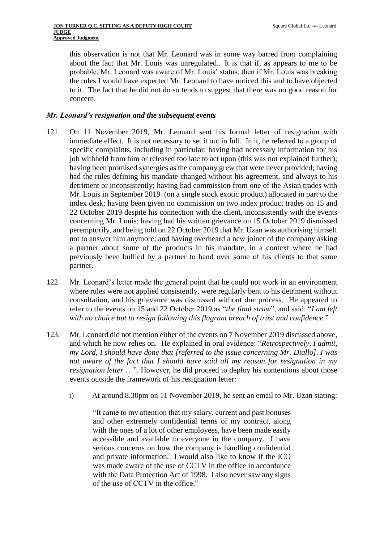this observation is not that Mr. Leonard was in some way barred from complaining about the fact that Mr. Louis was unregulated. It is that if, as appears to me to be probable, Mr. Leonard was aware of Mr. Louis' status, then if Mr. Louis was breaking the rules I would have expected Mr. Leonard to have noticed this and to have objected to it. The fact that he did not do so tends to suggest that there was no good reason for concern.

#### *Mr. Leonard's resignation and the subsequent events*

- 121. On 11 November 2019, Mr. Leonard sent his formal letter of resignation with immediate effect. It is not necessary to set it out in full. In it, he referred to a group of specific complaints, including in particular: having had necessary information for his job withheld from him or released too late to act upon (this was not explained further); having been promised synergies as the company grew that were never provided; having had the rules defining his mandate changed without his agreement, and always to his detriment or inconsistently; having had commission from one of the Asian trades with Mr. Louis in September 2019 (on a single stock exotic product) allocated in part to the index desk; having been given no commission on two index product trades on 15 and 22 October 2019 despite his connection with the client, inconsistently with the events concerning Mr. Louis; having had his written grievance on 15 October 2019 dismissed peremptorily, and being told on 22 October 2019 that Mr. Uzan was authorising himself not to answer him anymore; and having overheard a new joiner of the company asking a partner about some of the products in his mandate, in a context where he had previously been bullied by a partner to hand over some of his clients to that same partner.
- 122. Mr. Leonard's letter made the general point that he could not work in an environment where rules were not applied consistently, were regularly bent to his detriment without consultation, and his grievance was dismissed without due process. He appeared to refer to the events on 15 and 22 October 2019 as "*the final straw*", and said: "*I am left with no choice but to resign following this flagrant breach of trust and confidence.*"
- 123. Mr. Leonard did not mention either of the events on 7 November 2019 discussed above, and which he now relies on. He explained in oral evidence: "*Retrospectively, I admit, my Lord, I should have done that [referred to the issue concerning Mr. Diallo]. I was not aware of the fact that I should have said all my reason for resignation in my resignation letter* ...". However, he did proceed to deploy his contentions about those events outside the framework of his resignation letter:
	- i) At around 8.30pm on 11 November 2019, he sent an email to Mr. Uzan stating:

"It came to my attention that my salary, current and past bonuses and other extremely confidential terms of my contract, along with the ones of a lot of other employees, have been made easily accessible and available to everyone in the company. I have serious concerns on how the company is handling confidential and private information. I would also like to know if the ICO was made aware of the use of CCTV in the office in accordance with the Data Protection Act of 1998. I also never saw any signs of the use of CCTV in the office."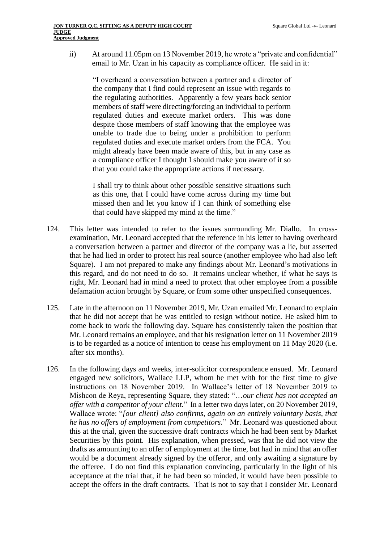ii) At around 11.05pm on 13 November 2019, he wrote a "private and confidential" email to Mr. Uzan in his capacity as compliance officer. He said in it:

"I overheard a conversation between a partner and a director of the company that I find could represent an issue with regards to the regulating authorities. Apparently a few years back senior members of staff were directing/forcing an individual to perform regulated duties and execute market orders. This was done despite those members of staff knowing that the employee was unable to trade due to being under a prohibition to perform regulated duties and execute market orders from the FCA. You might already have been made aware of this, but in any case as a compliance officer I thought I should make you aware of it so that you could take the appropriate actions if necessary.

I shall try to think about other possible sensitive situations such as this one, that I could have come across during my time but missed then and let you know if I can think of something else that could have skipped my mind at the time."

- 124. This letter was intended to refer to the issues surrounding Mr. Diallo. In crossexamination, Mr. Leonard accepted that the reference in his letter to having overheard a conversation between a partner and director of the company was a lie, but asserted that he had lied in order to protect his real source (another employee who had also left Square). I am not prepared to make any findings about Mr. Leonard's motivations in this regard, and do not need to do so. It remains unclear whether, if what he says is right, Mr. Leonard had in mind a need to protect that other employee from a possible defamation action brought by Square, or from some other unspecified consequences.
- 125. Late in the afternoon on 11 November 2019, Mr. Uzan emailed Mr. Leonard to explain that he did not accept that he was entitled to resign without notice. He asked him to come back to work the following day. Square has consistently taken the position that Mr. Leonard remains an employee, and that his resignation letter on 11 November 2019 is to be regarded as a notice of intention to cease his employment on 11 May 2020 (i.e. after six months).
- 126. In the following days and weeks, inter-solicitor correspondence ensued. Mr. Leonard engaged new solicitors, Wallace LLP, whom he met with for the first time to give instructions on 18 November 2019. In Wallace's letter of 18 November 2019 to Mishcon de Reya, representing Square, they stated: "…*our client has not accepted an offer with a competitor of your client.*" In a letter two days later, on 20 November 2019, Wallace wrote: "*[our client] also confirms, again on an entirely voluntary basis, that he has no offers of employment from competitors.*" Mr. Leonard was questioned about this at the trial, given the successive draft contracts which he had been sent by Market Securities by this point. His explanation, when pressed, was that he did not view the drafts as amounting to an offer of employment at the time, but had in mind that an offer would be a document already signed by the offeror, and only awaiting a signature by the offeree. I do not find this explanation convincing, particularly in the light of his acceptance at the trial that, if he had been so minded, it would have been possible to accept the offers in the draft contracts. That is not to say that I consider Mr. Leonard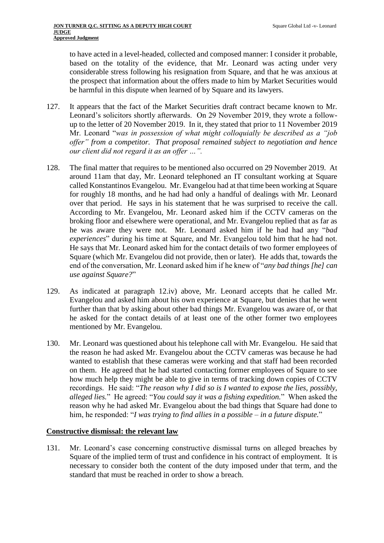to have acted in a level-headed, collected and composed manner: I consider it probable, based on the totality of the evidence, that Mr. Leonard was acting under very considerable stress following his resignation from Square, and that he was anxious at the prospect that information about the offers made to him by Market Securities would be harmful in this dispute when learned of by Square and its lawyers.

- 127. It appears that the fact of the Market Securities draft contract became known to Mr. Leonard's solicitors shortly afterwards. On 29 November 2019, they wrote a followup to the letter of 20 November 2019. In it, they stated that prior to 11 November 2019 Mr. Leonard "*was in possession of what might colloquially be described as a "job offer" from a competitor. That proposal remained subject to negotiation and hence our client did not regard it as an offer …".*
- 128. The final matter that requires to be mentioned also occurred on 29 November 2019. At around 11am that day, Mr. Leonard telephoned an IT consultant working at Square called Konstantinos Evangelou. Mr. Evangelou had at that time been working at Square for roughly 18 months, and he had had only a handful of dealings with Mr. Leonard over that period. He says in his statement that he was surprised to receive the call. According to Mr. Evangelou, Mr. Leonard asked him if the CCTV cameras on the broking floor and elsewhere were operational, and Mr. Evangelou replied that as far as he was aware they were not. Mr. Leonard asked him if he had had any "*bad experiences*" during his time at Square, and Mr. Evangelou told him that he had not. He says that Mr. Leonard asked him for the contact details of two former employees of Square (which Mr. Evangelou did not provide, then or later). He adds that, towards the end of the conversation, Mr. Leonard asked him if he knew of "*any bad things [he] can use against Square?*"
- 129. As indicated at paragraph [12.iv\)](#page-3-0) above, Mr. Leonard accepts that he called Mr. Evangelou and asked him about his own experience at Square, but denies that he went further than that by asking about other bad things Mr. Evangelou was aware of, or that he asked for the contact details of at least one of the other former two employees mentioned by Mr. Evangelou.
- 130. Mr. Leonard was questioned about his telephone call with Mr. Evangelou. He said that the reason he had asked Mr. Evangelou about the CCTV cameras was because he had wanted to establish that these cameras were working and that staff had been recorded on them. He agreed that he had started contacting former employees of Square to see how much help they might be able to give in terms of tracking down copies of CCTV recordings. He said: "*The reason why I did so is I wanted to expose the lies, possibly, alleged lies.*" He agreed: "*You could say it was a fishing expedition.*" When asked the reason why he had asked Mr. Evangelou about the bad things that Square had done to him, he responded: "*I was trying to find allies in a possible – in a future dispute.*"

#### **Constructive dismissal: the relevant law**

131. Mr. Leonard's case concerning constructive dismissal turns on alleged breaches by Square of the implied term of trust and confidence in his contract of employment. It is necessary to consider both the content of the duty imposed under that term, and the standard that must be reached in order to show a breach.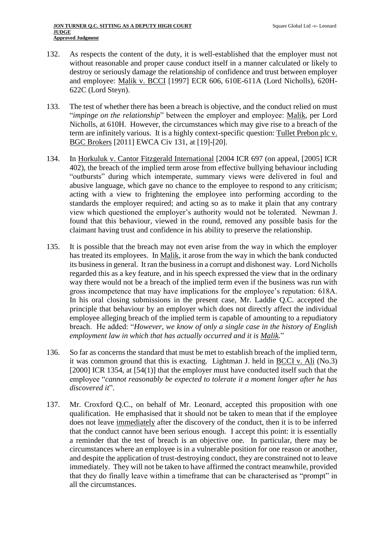- 132. As respects the content of the duty, it is well-established that the employer must not without reasonable and proper cause conduct itself in a manner calculated or likely to destroy or seriously damage the relationship of confidence and trust between employer and employee: Malik v. BCCI [1997] ECR 606, 610E-611A (Lord Nicholls), 620H-622C (Lord Steyn).
- 133. The test of whether there has been a breach is objective, and the conduct relied on must "*impinge on the relationship*" between the employer and employee: Malik, per Lord Nicholls, at 610H. However, the circumstances which may give rise to a breach of the term are infinitely various. It is a highly context-specific question: Tullet Prebon plc v. BGC Brokers [2011] EWCA Civ 131, at [19]-[20].
- 134. In Horkuluk v. Cantor Fitzgerald International [2004 ICR 697 (on appeal, [2005] ICR 402), the breach of the implied term arose from effective bullying behaviour including "outbursts" during which intemperate, summary views were delivered in foul and abusive language, which gave no chance to the employee to respond to any criticism; acting with a view to frightening the employee into performing according to the standards the employer required; and acting so as to make it plain that any contrary view which questioned the employer's authority would not be tolerated. Newman J. found that this behaviour, viewed in the round, removed any possible basis for the claimant having trust and confidence in his ability to preserve the relationship.
- 135. It is possible that the breach may not even arise from the way in which the employer has treated its employees. In Malik, it arose from the way in which the bank conducted its business in general. It ran the business in a corrupt and dishonest way. Lord Nicholls regarded this as a key feature, and in his speech expressed the view that in the ordinary way there would not be a breach of the implied term even if the business was run with gross incompetence that may have implications for the employee's reputation: 618A. In his oral closing submissions in the present case, Mr. Laddie Q.C. accepted the principle that behaviour by an employer which does not directly affect the individual employee alleging breach of the implied term is capable of amounting to a repudiatory breach. He added: "*However, we know of only a single case in the history of English employment law in which that has actually occurred and it is Malik.*"
- 136. So far as concerns the standard that must be met to establish breach of the implied term, it was common ground that this is exacting. Lightman J. held in BCCI v. Ali (No.3) [2000] ICR 1354, at [54(1)] that the employer must have conducted itself such that the employee "*cannot reasonably be expected to tolerate it a moment longer after he has discovered it*".
- 137. Mr. Croxford Q.C., on behalf of Mr. Leonard, accepted this proposition with one qualification. He emphasised that it should not be taken to mean that if the employee does not leave immediately after the discovery of the conduct, then it is to be inferred that the conduct cannot have been serious enough. I accept this point: it is essentially a reminder that the test of breach is an objective one. In particular, there may be circumstances where an employee is in a vulnerable position for one reason or another, and despite the application of trust-destroying conduct, they are constrained not to leave immediately. They will not be taken to have affirmed the contract meanwhile, provided that they do finally leave within a timeframe that can be characterised as "prompt" in all the circumstances.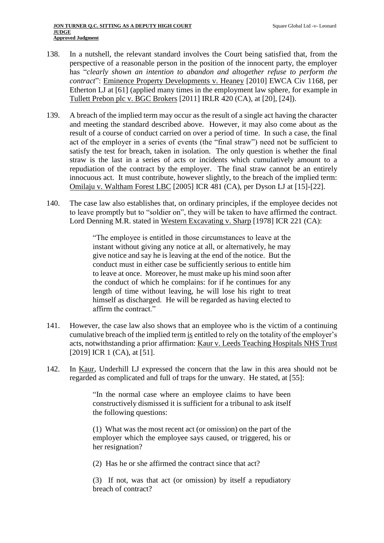- 138. In a nutshell, the relevant standard involves the Court being satisfied that, from the perspective of a reasonable person in the position of the innocent party, the employer has "*clearly shown an intention to abandon and altogether refuse to perform the contract*": Eminence Property Developments v. Heaney [2010] EWCA Civ 1168, per Etherton LJ at [61] (applied many times in the employment law sphere, for example in Tullett Prebon plc v. BGC Brokers [2011] IRLR 420 (CA), at [20], [24]).
- 139. A breach of the implied term may occur as the result of a single act having the character and meeting the standard described above. However, it may also come about as the result of a course of conduct carried on over a period of time. In such a case, the final act of the employer in a series of events (the "final straw") need not be sufficient to satisfy the test for breach, taken in isolation. The only question is whether the final straw is the last in a series of acts or incidents which cumulatively amount to a repudiation of the contract by the employer. The final straw cannot be an entirely innocuous act. It must contribute, however slightly, to the breach of the implied term: Omilaju v. Waltham Forest LBC [2005] ICR 481 (CA), per Dyson LJ at [15]-[22].
- 140. The case law also establishes that, on ordinary principles, if the employee decides not to leave promptly but to "soldier on", they will be taken to have affirmed the contract. Lord Denning M.R. stated in Western Excavating v. Sharp [1978] ICR 221 (CA):

"The employee is entitled in those circumstances to leave at the instant without giving any notice at all, or alternatively, he may give notice and say he is leaving at the end of the notice. But the conduct must in either case be sufficiently serious to entitle him to leave at once. Moreover, he must make up his mind soon after the conduct of which he complains: for if he continues for any length of time without leaving, he will lose his right to treat himself as discharged. He will be regarded as having elected to affirm the contract."

- 141. However, the case law also shows that an employee who is the victim of a continuing cumulative breach of the implied term is entitled to rely on the totality of the employer's acts, notwithstanding a prior affirmation: Kaur v. Leeds Teaching Hospitals NHS Trust [2019] ICR 1 (CA), at [51].
- 142. In Kaur, Underhill LJ expressed the concern that the law in this area should not be regarded as complicated and full of traps for the unwary. He stated, at [55]:

"In the normal case where an employee claims to have been constructively dismissed it is sufficient for a tribunal to ask itself the following questions:

(1) What was the most recent act (or omission) on the part of the employer which the employee says caused, or triggered, his or her resignation?

(2) Has he or she affirmed the contract since that act?

(3) If not, was that act (or omission) by itself a repudiatory breach of contract?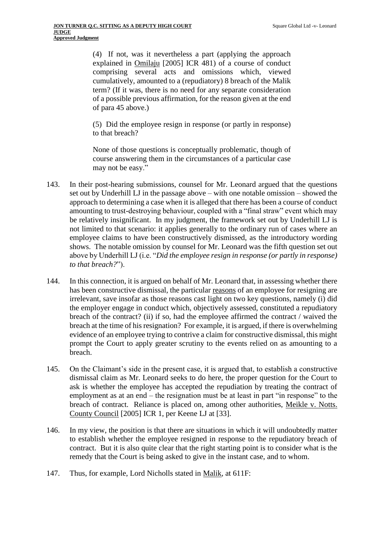(4) If not, was it nevertheless a part (applying the approach explained in Omilaju [2005] ICR 481) of a course of conduct comprising several acts and omissions which, viewed cumulatively, amounted to a (repudiatory) 8 breach of the Malik term? (If it was, there is no need for any separate consideration of a possible previous affirmation, for the reason given at the end of para 45 above.)

(5) Did the employee resign in response (or partly in response) to that breach?

None of those questions is conceptually problematic, though of course answering them in the circumstances of a particular case may not be easy."

- 143. In their post-hearing submissions, counsel for Mr. Leonard argued that the questions set out by Underhill LJ in the passage above – with one notable omission – showed the approach to determining a case when it is alleged that there has been a course of conduct amounting to trust-destroying behaviour, coupled with a "final straw" event which may be relatively insignificant. In my judgment, the framework set out by Underhill LJ is not limited to that scenario: it applies generally to the ordinary run of cases where an employee claims to have been constructively dismissed, as the introductory wording shows. The notable omission by counsel for Mr. Leonard was the fifth question set out above by Underhill LJ (i.e. "*Did the employee resign in response (or partly in response) to that breach?*").
- 144. In this connection, it is argued on behalf of Mr. Leonard that, in assessing whether there has been constructive dismissal, the particular reasons of an employee for resigning are irrelevant, save insofar as those reasons cast light on two key questions, namely (i) did the employer engage in conduct which, objectively assessed, constituted a repudiatory breach of the contract? (ii) if so, had the employee affirmed the contract / waived the breach at the time of his resignation? For example, it is argued, if there is overwhelming evidence of an employee trying to contrive a claim for constructive dismissal, this might prompt the Court to apply greater scrutiny to the events relied on as amounting to a breach.
- 145. On the Claimant's side in the present case, it is argued that, to establish a constructive dismissal claim as Mr. Leonard seeks to do here, the proper question for the Court to ask is whether the employee has accepted the repudiation by treating the contract of employment as at an end – the resignation must be at least in part "in response" to the breach of contract. Reliance is placed on, among other authorities, Meikle v. Notts. County Council [2005] ICR 1, per Keene LJ at [33].
- 146. In my view, the position is that there are situations in which it will undoubtedly matter to establish whether the employee resigned in response to the repudiatory breach of contract. But it is also quite clear that the right starting point is to consider what is the remedy that the Court is being asked to give in the instant case, and to whom.
- 147. Thus, for example, Lord Nicholls stated in Malik, at 611F: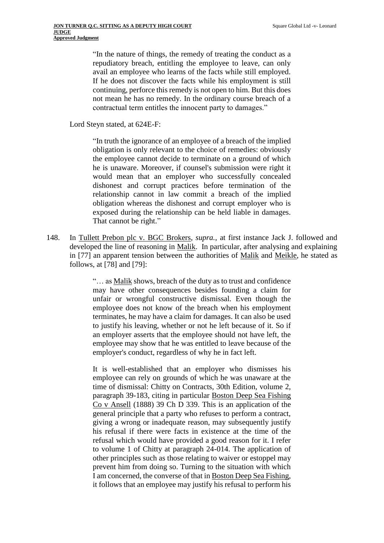"In the nature of things, the remedy of treating the conduct as a repudiatory breach, entitling the employee to leave, can only avail an employee who learns of the facts while still employed. If he does not discover the facts while his employment is still continuing, perforce this remedy is not open to him. But this does not mean he has no remedy. In the ordinary course breach of a contractual term entitles the innocent party to damages."

Lord Steyn stated, at 624E-F:

"In truth the ignorance of an employee of a breach of the implied obligation is only relevant to the choice of remedies: obviously the employee cannot decide to terminate on a ground of which he is unaware. Moreover, if counsel's submission were right it would mean that an employer who successfully concealed dishonest and corrupt practices before termination of the relationship cannot in law commit a breach of the implied obligation whereas the dishonest and corrupt employer who is exposed during the relationship can be held liable in damages. That cannot be right."

148. In Tullett Prebon plc v. BGC Brokers, *supra.*, at first instance Jack J. followed and developed the line of reasoning in Malik. In particular, after analysing and explaining in [77] an apparent tension between the authorities of Malik and Meikle, he stated as follows, at [78] and [79]:

> "… as Malik shows, breach of the duty as to trust and confidence may have other consequences besides founding a claim for unfair or wrongful constructive dismissal. Even though the employee does not know of the breach when his employment terminates, he may have a claim for damages. It can also be used to justify his leaving, whether or not he left because of it. So if an employer asserts that the employee should not have left, the employee may show that he was entitled to leave because of the employer's conduct, regardless of why he in fact left.

> It is well-established that an employer who dismisses his employee can rely on grounds of which he was unaware at the time of dismissal: Chitty on Contracts, 30th Edition, volume 2, paragraph 39-183, citing in particular Boston Deep Sea Fishing Co v Ansell (1888) 39 Ch D 339. This is an application of the general principle that a party who refuses to perform a contract, giving a wrong or inadequate reason, may subsequently justify his refusal if there were facts in existence at the time of the refusal which would have provided a good reason for it. I refer to volume 1 of Chitty at paragraph 24-014. The application of other principles such as those relating to waiver or estoppel may prevent him from doing so. Turning to the situation with which I am concerned, the converse of that in Boston Deep Sea Fishing, it follows that an employee may justify his refusal to perform his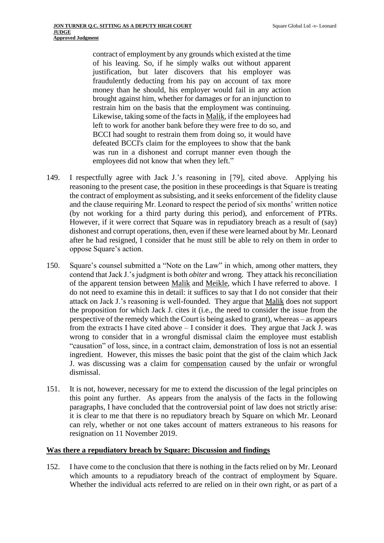contract of employment by any grounds which existed at the time of his leaving. So, if he simply walks out without apparent justification, but later discovers that his employer was fraudulently deducting from his pay on account of tax more money than he should, his employer would fail in any action brought against him, whether for damages or for an injunction to restrain him on the basis that the employment was continuing. Likewise, taking some of the facts in Malik, if the employees had left to work for another bank before they were free to do so, and BCCI had sought to restrain them from doing so, it would have defeated BCCI's claim for the employees to show that the bank was run in a dishonest and corrupt manner even though the employees did not know that when they left."

- 149. I respectfully agree with Jack J.'s reasoning in [79], cited above. Applying his reasoning to the present case, the position in these proceedings is that Square is treating the contract of employment as subsisting, and it seeks enforcement of the fidelity clause and the clause requiring Mr. Leonard to respect the period of six months' written notice (by not working for a third party during this period), and enforcement of PTRs. However, if it were correct that Square was in repudiatory breach as a result of (say) dishonest and corrupt operations, then, even if these were learned about by Mr. Leonard after he had resigned, I consider that he must still be able to rely on them in order to oppose Square's action.
- 150. Square's counsel submitted a "Note on the Law" in which, among other matters, they contend that Jack J.'s judgment is both *obiter* and wrong. They attack his reconciliation of the apparent tension between Malik and Meikle, which I have referred to above. I do not need to examine this in detail: it suffices to say that I do not consider that their attack on Jack J.'s reasoning is well-founded. They argue that Malik does not support the proposition for which Jack J. cites it (i.e., the need to consider the issue from the perspective of the remedy which the Court is being asked to grant), whereas – as appears from the extracts I have cited above – I consider it does. They argue that Jack J. was wrong to consider that in a wrongful dismissal claim the employee must establish "causation" of loss, since, in a contract claim, demonstration of loss is not an essential ingredient. However, this misses the basic point that the gist of the claim which Jack J. was discussing was a claim for compensation caused by the unfair or wrongful dismissal.
- 151. It is not, however, necessary for me to extend the discussion of the legal principles on this point any further. As appears from the analysis of the facts in the following paragraphs, I have concluded that the controversial point of law does not strictly arise: it is clear to me that there is no repudiatory breach by Square on which Mr. Leonard can rely, whether or not one takes account of matters extraneous to his reasons for resignation on 11 November 2019.

#### **Was there a repudiatory breach by Square: Discussion and findings**

152. I have come to the conclusion that there is nothing in the facts relied on by Mr. Leonard which amounts to a repudiatory breach of the contract of employment by Square. Whether the individual acts referred to are relied on in their own right, or as part of a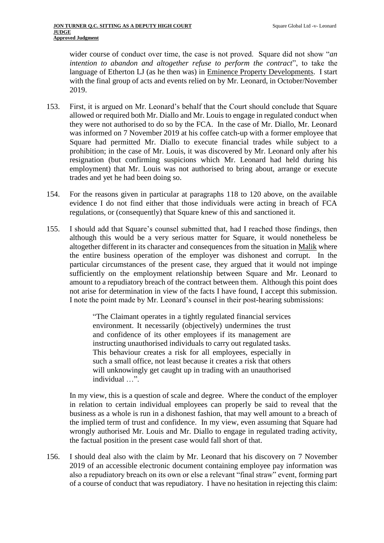wider course of conduct over time, the case is not proved. Square did not show "*an intention to abandon and altogether refuse to perform the contract*", to take the language of Etherton LJ (as he then was) in Eminence Property Developments. I start with the final group of acts and events relied on by Mr. Leonard, in October/November 2019.

- 153. First, it is argued on Mr. Leonard's behalf that the Court should conclude that Square allowed or required both Mr. Diallo and Mr. Louis to engage in regulated conduct when they were not authorised to do so by the FCA. In the case of Mr. Diallo, Mr. Leonard was informed on 7 November 2019 at his coffee catch-up with a former employee that Square had permitted Mr. Diallo to execute financial trades while subject to a prohibition; in the case of Mr. Louis, it was discovered by Mr. Leonard only after his resignation (but confirming suspicions which Mr. Leonard had held during his employment) that Mr. Louis was not authorised to bring about, arrange or execute trades and yet he had been doing so.
- 154. For the reasons given in particular at paragraphs [118](#page-32-0) to [120](#page-32-1) above, on the available evidence I do not find either that those individuals were acting in breach of FCA regulations, or (consequently) that Square knew of this and sanctioned it.
- 155. I should add that Square's counsel submitted that, had I reached those findings, then although this would be a very serious matter for Square, it would nonetheless be altogether different in its character and consequences from the situation in Malik where the entire business operation of the employer was dishonest and corrupt. In the particular circumstances of the present case, they argued that it would not impinge sufficiently on the employment relationship between Square and Mr. Leonard to amount to a repudiatory breach of the contract between them. Although this point does not arise for determination in view of the facts I have found, I accept this submission. I note the point made by Mr. Leonard's counsel in their post-hearing submissions:

"The Claimant operates in a tightly regulated financial services environment. It necessarily (objectively) undermines the trust and confidence of its other employees if its management are instructing unauthorised individuals to carry out regulated tasks. This behaviour creates a risk for all employees, especially in such a small office, not least because it creates a risk that others will unknowingly get caught up in trading with an unauthorised individual …".

In my view, this is a question of scale and degree. Where the conduct of the employer in relation to certain individual employees can properly be said to reveal that the business as a whole is run in a dishonest fashion, that may well amount to a breach of the implied term of trust and confidence. In my view, even assuming that Square had wrongly authorised Mr. Louis and Mr. Diallo to engage in regulated trading activity, the factual position in the present case would fall short of that.

156. I should deal also with the claim by Mr. Leonard that his discovery on 7 November 2019 of an accessible electronic document containing employee pay information was also a repudiatory breach on its own or else a relevant "final straw" event, forming part of a course of conduct that was repudiatory. I have no hesitation in rejecting this claim: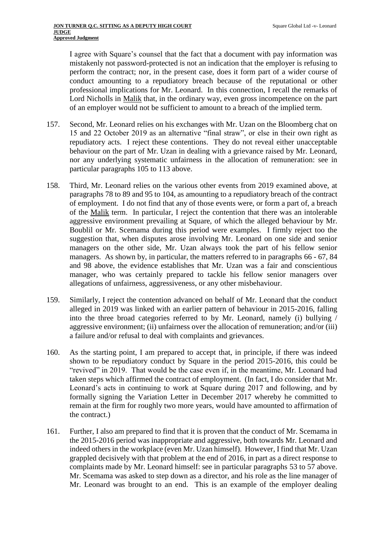I agree with Square's counsel that the fact that a document with pay information was mistakenly not password-protected is not an indication that the employer is refusing to perform the contract; nor, in the present case, does it form part of a wider course of conduct amounting to a repudiatory breach because of the reputational or other professional implications for Mr. Leonard. In this connection, I recall the remarks of Lord Nicholls in Malik that, in the ordinary way, even gross incompetence on the part of an employer would not be sufficient to amount to a breach of the implied term.

- 157. Second, Mr. Leonard relies on his exchanges with Mr. Uzan on the Bloomberg chat on 15 and 22 October 2019 as an alternative "final straw", or else in their own right as repudiatory acts. I reject these contentions. They do not reveal either unacceptable behaviour on the part of Mr. Uzan in dealing with a grievance raised by Mr. Leonard, nor any underlying systematic unfairness in the allocation of remuneration: see in particular paragraphs [105](#page-29-0) to [113](#page-31-0) above.
- 158. Third, Mr. Leonard relies on the various other events from 2019 examined above, at paragraphs [78](#page-22-0) to [89](#page-24-0) and [95](#page-27-0) t[o 104,](#page-29-1) as amounting to a repudiatory breach of the contract of employment. I do not find that any of those events were, or form a part of, a breach of the Malik term. In particular, I reject the contention that there was an intolerable aggressive environment prevailing at Square, of which the alleged behaviour by Mr. Boublil or Mr. Scemama during this period were examples. I firmly reject too the suggestion that, when disputes arose involving Mr. Leonard on one side and senior managers on the other side, Mr. Uzan always took the part of his fellow senior managers. As shown by, in particular, the matters referred to in paragraphs [66](#page-19-0) - [67,](#page-19-1) [84](#page-23-0) and [98](#page-27-1) above, the evidence establishes that Mr. Uzan was a fair and conscientious manager, who was certainly prepared to tackle his fellow senior managers over allegations of unfairness, aggressiveness, or any other misbehaviour.
- 159. Similarly, I reject the contention advanced on behalf of Mr. Leonard that the conduct alleged in 2019 was linked with an earlier pattern of behaviour in 2015-2016, falling into the three broad categories referred to by Mr. Leonard, namely (i) bullying / aggressive environment; (ii) unfairness over the allocation of remuneration; and/or (iii) a failure and/or refusal to deal with complaints and grievances.
- 160. As the starting point, I am prepared to accept that, in principle, if there was indeed shown to be repudiatory conduct by Square in the period 2015-2016, this could be "revived" in 2019. That would be the case even if, in the meantime, Mr. Leonard had taken steps which affirmed the contract of employment. (In fact, I do consider that Mr. Leonard's acts in continuing to work at Square during 2017 and following, and by formally signing the Variation Letter in December 2017 whereby he committed to remain at the firm for roughly two more years, would have amounted to affirmation of the contract.)
- 161. Further, I also am prepared to find that it is proven that the conduct of Mr. Scemama in the 2015-2016 period was inappropriate and aggressive, both towards Mr. Leonard and indeed others in the workplace (even Mr. Uzan himself). However, I find that Mr. Uzan grappled decisively with that problem at the end of 2016, in part as a direct response to complaints made by Mr. Leonard himself: see in particular paragraphs [53](#page-15-0) to [57](#page-16-0) above. Mr. Scemama was asked to step down as a director, and his role as the line manager of Mr. Leonard was brought to an end. This is an example of the employer dealing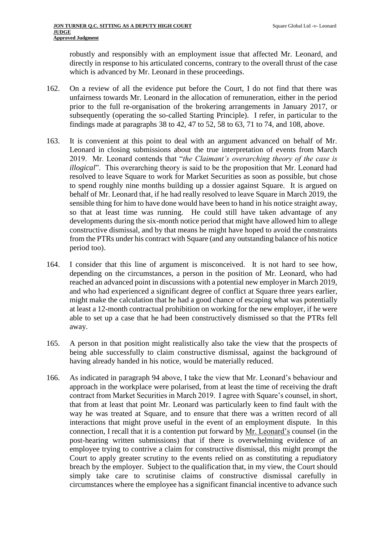robustly and responsibly with an employment issue that affected Mr. Leonard, and directly in response to his articulated concerns, contrary to the overall thrust of the case which is advanced by Mr. Leonard in these proceedings.

- 162. On a review of all the evidence put before the Court, I do not find that there was unfairness towards Mr. Leonard in the allocation of remuneration, either in the period prior to the full re-organisation of the brokering arrangements in January 2017, or subsequently (operating the so-called Starting Principle). I refer, in particular to the findings made at paragraphs [38](#page-11-0) to [42,](#page-13-0) [47](#page-14-2) to [52,](#page-15-1) [58](#page-17-0) to [63,](#page-18-0) [71](#page-20-0) to [74,](#page-21-0) and [108,](#page-29-2) above.
- 163. It is convenient at this point to deal with an argument advanced on behalf of Mr. Leonard in closing submissions about the true interpretation of events from March 2019. Mr. Leonard contends that "*the Claimant's overarching theory of the case is illogical*". This overarching theory is said to be the proposition that Mr. Leonard had resolved to leave Square to work for Market Securities as soon as possible, but chose to spend roughly nine months building up a dossier against Square. It is argued on behalf of Mr. Leonard that, if he had really resolved to leave Square in March 2019, the sensible thing for him to have done would have been to hand in his notice straight away, so that at least time was running. He could still have taken advantage of any developments during the six-month notice period that might have allowed him to allege constructive dismissal, and by that means he might have hoped to avoid the constraints from the PTRs under his contract with Square (and any outstanding balance of his notice period too).
- 164. I consider that this line of argument is misconceived. It is not hard to see how, depending on the circumstances, a person in the position of Mr. Leonard, who had reached an advanced point in discussions with a potential new employer in March 2019, and who had experienced a significant degree of conflict at Square three years earlier, might make the calculation that he had a good chance of escaping what was potentially at least a 12-month contractual prohibition on working for the new employer, if he were able to set up a case that he had been constructively dismissed so that the PTRs fell away.
- 165. A person in that position might realistically also take the view that the prospects of being able successfully to claim constructive dismissal, against the background of having already handed in his notice, would be materially reduced.
- 166. As indicated in paragraph [94](#page-26-0) above, I take the view that Mr. Leonard's behaviour and approach in the workplace were polarised, from at least the time of receiving the draft contract from Market Securities in March 2019. I agree with Square's counsel, in short, that from at least that point Mr. Leonard was particularly keen to find fault with the way he was treated at Square, and to ensure that there was a written record of all interactions that might prove useful in the event of an employment dispute. In this connection, I recall that it is a contention put forward by Mr. Leonard's counsel (in the post-hearing written submissions) that if there is overwhelming evidence of an employee trying to contrive a claim for constructive dismissal, this might prompt the Court to apply greater scrutiny to the events relied on as constituting a repudiatory breach by the employer. Subject to the qualification that, in my view, the Court should simply take care to scrutinise claims of constructive dismissal carefully in circumstances where the employee has a significant financial incentive to advance such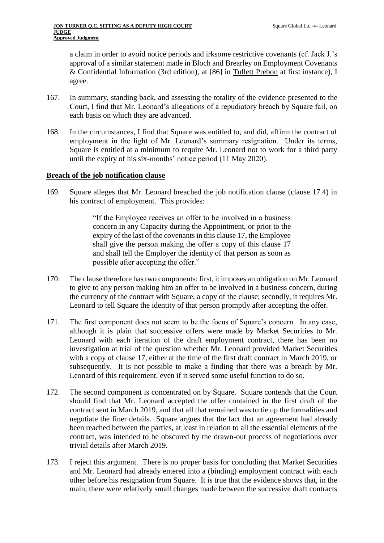a claim in order to avoid notice periods and irksome restrictive covenants (cf. Jack J.'s approval of a similar statement made in Bloch and Brearley on Employment Covenants & Confidential Information (3rd edition), at [86] in Tullett Prebon at first instance), I agree.

- 167. In summary, standing back, and assessing the totality of the evidence presented to the Court, I find that Mr. Leonard's allegations of a repudiatory breach by Square fail, on each basis on which they are advanced.
- 168. In the circumstances, I find that Square was entitled to, and did, affirm the contract of employment in the light of Mr. Leonard's summary resignation. Under its terms, Square is entitled at a minimum to require Mr. Leonard not to work for a third party until the expiry of his six-months' notice period (11 May 2020).

#### **Breach of the job notification clause**

169. Square alleges that Mr. Leonard breached the job notification clause (clause 17.4) in his contract of employment. This provides:

> "If the Employee receives an offer to be involved in a business concern in any Capacity during the Appointment, or prior to the expiry of the last of the covenants in this clause 17, the Employee shall give the person making the offer a copy of this clause 17 and shall tell the Employer the identity of that person as soon as possible after accepting the offer."

- 170. The clause therefore has two components: first, it imposes an obligation on Mr. Leonard to give to any person making him an offer to be involved in a business concern, during the currency of the contract with Square, a copy of the clause; secondly, it requires Mr. Leonard to tell Square the identity of that person promptly after accepting the offer.
- 171. The first component does not seem to be the focus of Square's concern. In any case, although it is plain that successive offers were made by Market Securities to Mr. Leonard with each iteration of the draft employment contract, there has been no investigation at trial of the question whether Mr. Leonard provided Market Securities with a copy of clause 17, either at the time of the first draft contract in March 2019, or subsequently. It is not possible to make a finding that there was a breach by Mr. Leonard of this requirement, even if it served some useful function to do so.
- 172. The second component is concentrated on by Square. Square contends that the Court should find that Mr. Leonard accepted the offer contained in the first draft of the contract sent in March 2019, and that all that remained was to tie up the formalities and negotiate the finer details. Square argues that the fact that an agreement had already been reached between the parties, at least in relation to all the essential elements of the contract, was intended to be obscured by the drawn-out process of negotiations over trivial details after March 2019.
- 173. I reject this argument. There is no proper basis for concluding that Market Securities and Mr. Leonard had already entered into a (binding) employment contract with each other before his resignation from Square. It is true that the evidence shows that, in the main, there were relatively small changes made between the successive draft contracts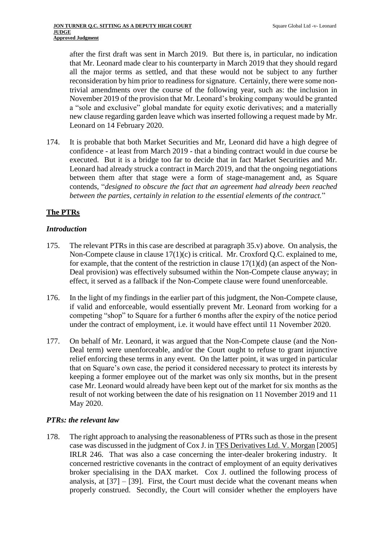after the first draft was sent in March 2019. But there is, in particular, no indication that Mr. Leonard made clear to his counterparty in March 2019 that they should regard all the major terms as settled, and that these would not be subject to any further reconsideration by him prior to readiness for signature. Certainly, there were some nontrivial amendments over the course of the following year, such as: the inclusion in November 2019 of the provision that Mr. Leonard's broking company would be granted a "sole and exclusive" global mandate for equity exotic derivatives; and a materially new clause regarding garden leave which was inserted following a request made by Mr. Leonard on 14 February 2020.

174. It is probable that both Market Securities and Mr, Leonard did have a high degree of confidence - at least from March 2019 - that a binding contract would in due course be executed. But it is a bridge too far to decide that in fact Market Securities and Mr. Leonard had already struck a contract in March 2019, and that the ongoing negotiations between them after that stage were a form of stage-management and, as Square contends, "*designed to obscure the fact that an agreement had already been reached between the parties, certainly in relation to the essential elements of the contract.*"

## **The PTRs**

### *Introduction*

- 175. The relevant PTRs in this case are described at paragraph [35.v\)](#page-10-0) above. On analysis, the Non-Compete clause in clause 17(1)(c) is critical. Mr. Croxford Q.C. explained to me, for example, that the content of the restriction in clause  $17(1)(d)$  (an aspect of the Non-Deal provision) was effectively subsumed within the Non-Compete clause anyway; in effect, it served as a fallback if the Non-Compete clause were found unenforceable.
- 176. In the light of my findings in the earlier part of this judgment, the Non-Compete clause, if valid and enforceable, would essentially prevent Mr. Leonard from working for a competing "shop" to Square for a further 6 months after the expiry of the notice period under the contract of employment, i.e. it would have effect until 11 November 2020.
- 177. On behalf of Mr. Leonard, it was argued that the Non-Compete clause (and the Non-Deal term) were unenforceable, and/or the Court ought to refuse to grant injunctive relief enforcing these terms in any event. On the latter point, it was urged in particular that on Square's own case, the period it considered necessary to protect its interests by keeping a former employee out of the market was only six months, but in the present case Mr. Leonard would already have been kept out of the market for six months as the result of not working between the date of his resignation on 11 November 2019 and 11 May 2020.

## *PTRs: the relevant law*

178. The right approach to analysing the reasonableness of PTRs such as those in the present case was discussed in the judgment of Cox J. in TFS Derivatives Ltd. V. Morgan [2005] IRLR 246. That was also a case concerning the inter-dealer brokering industry. It concerned restrictive covenants in the contract of employment of an equity derivatives broker specialising in the DAX market. Cox J. outlined the following process of analysis, at  $[37] - [39]$ . First, the Court must decide what the covenant means when properly construed. Secondly, the Court will consider whether the employers have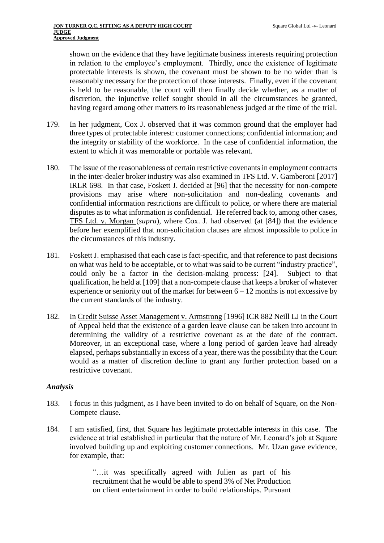shown on the evidence that they have legitimate business interests requiring protection in relation to the employee's employment. Thirdly, once the existence of legitimate protectable interests is shown, the covenant must be shown to be no wider than is reasonably necessary for the protection of those interests. Finally, even if the covenant is held to be reasonable, the court will then finally decide whether, as a matter of discretion, the injunctive relief sought should in all the circumstances be granted, having regard among other matters to its reasonableness judged at the time of the trial.

- 179. In her judgment, Cox J. observed that it was common ground that the employer had three types of protectable interest: customer connections; confidential information; and the integrity or stability of the workforce. In the case of confidential information, the extent to which it was memorable or portable was relevant.
- 180. The issue of the reasonableness of certain restrictive covenants in employment contracts in the inter-dealer broker industry was also examined in TFS Ltd. V. Gamberoni [2017] IRLR 698. In that case, Foskett J. decided at [96] that the necessity for non-compete provisions may arise where non-solicitation and non-dealing covenants and confidential information restrictions are difficult to police, or where there are material disputes as to what information is confidential. He referred back to, among other cases, TFS Ltd. v. Morgan (*supra*), where Cox. J. had observed (at [84]) that the evidence before her exemplified that non-solicitation clauses are almost impossible to police in the circumstances of this industry.
- 181. Foskett J. emphasised that each case is fact-specific, and that reference to past decisions on what was held to be acceptable, or to what was said to be current "industry practice", could only be a factor in the decision-making process: [24]. Subject to that qualification, he held at [109] that a non-compete clause that keeps a broker of whatever experience or seniority out of the market for between  $6 - 12$  months is not excessive by the current standards of the industry.
- 182. In Credit Suisse Asset Management v. Armstrong [1996] ICR 882 Neill LJ in the Court of Appeal held that the existence of a garden leave clause can be taken into account in determining the validity of a restrictive covenant as at the date of the contract. Moreover, in an exceptional case, where a long period of garden leave had already elapsed, perhaps substantially in excess of a year, there was the possibility that the Court would as a matter of discretion decline to grant any further protection based on a restrictive covenant.

## *Analysis*

- 183. I focus in this judgment, as I have been invited to do on behalf of Square, on the Non-Compete clause.
- 184. I am satisfied, first, that Square has legitimate protectable interests in this case. The evidence at trial established in particular that the nature of Mr. Leonard's job at Square involved building up and exploiting customer connections. Mr. Uzan gave evidence, for example, that:

"…it was specifically agreed with Julien as part of his recruitment that he would be able to spend 3% of Net Production on client entertainment in order to build relationships. Pursuant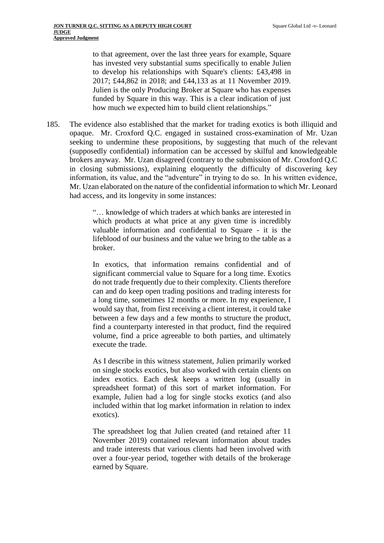to that agreement, over the last three years for example, Square has invested very substantial sums specifically to enable Julien to develop his relationships with Square's clients: £43,498 in 2017; £44,862 in 2018; and £44,133 as at 11 November 2019. Julien is the only Producing Broker at Square who has expenses funded by Square in this way. This is a clear indication of just how much we expected him to build client relationships."

185. The evidence also established that the market for trading exotics is both illiquid and opaque. Mr. Croxford Q.C. engaged in sustained cross-examination of Mr. Uzan seeking to undermine these propositions, by suggesting that much of the relevant (supposedly confidential) information can be accessed by skilful and knowledgeable brokers anyway. Mr. Uzan disagreed (contrary to the submission of Mr. Croxford Q.C in closing submissions), explaining eloquently the difficulty of discovering key information, its value, and the "adventure" in trying to do so. In his written evidence, Mr. Uzan elaborated on the nature of the confidential information to which Mr. Leonard had access, and its longevity in some instances:

> "… knowledge of which traders at which banks are interested in which products at what price at any given time is incredibly valuable information and confidential to Square - it is the lifeblood of our business and the value we bring to the table as a broker.

> In exotics, that information remains confidential and of significant commercial value to Square for a long time. Exotics do not trade frequently due to their complexity. Clients therefore can and do keep open trading positions and trading interests for a long time, sometimes 12 months or more. In my experience, I would say that, from first receiving a client interest, it could take between a few days and a few months to structure the product, find a counterparty interested in that product, find the required volume, find a price agreeable to both parties, and ultimately execute the trade.

> As I describe in this witness statement, Julien primarily worked on single stocks exotics, but also worked with certain clients on index exotics. Each desk keeps a written log (usually in spreadsheet format) of this sort of market information. For example, Julien had a log for single stocks exotics (and also included within that log market information in relation to index exotics).

> The spreadsheet log that Julien created (and retained after 11 November 2019) contained relevant information about trades and trade interests that various clients had been involved with over a four-year period, together with details of the brokerage earned by Square.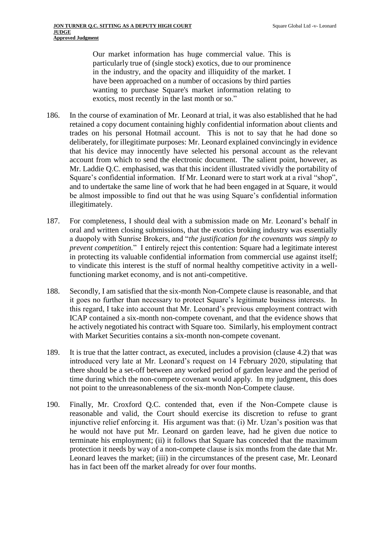Our market information has huge commercial value. This is particularly true of (single stock) exotics, due to our prominence in the industry, and the opacity and illiquidity of the market. I have been approached on a number of occasions by third parties wanting to purchase Square's market information relating to exotics, most recently in the last month or so."

- 186. In the course of examination of Mr. Leonard at trial, it was also established that he had retained a copy document containing highly confidential information about clients and trades on his personal Hotmail account. This is not to say that he had done so deliberately, for illegitimate purposes: Mr. Leonard explained convincingly in evidence that his device may innocently have selected his personal account as the relevant account from which to send the electronic document. The salient point, however, as Mr. Laddie Q.C. emphasised, was that this incident illustrated vividly the portability of Square's confidential information. If Mr. Leonard were to start work at a rival "shop", and to undertake the same line of work that he had been engaged in at Square, it would be almost impossible to find out that he was using Square's confidential information illegitimately.
- 187. For completeness, I should deal with a submission made on Mr. Leonard's behalf in oral and written closing submissions, that the exotics broking industry was essentially a duopoly with Sunrise Brokers, and "*the justification for the covenants was simply to prevent competition.*" I entirely reject this contention: Square had a legitimate interest in protecting its valuable confidential information from commercial use against itself; to vindicate this interest is the stuff of normal healthy competitive activity in a wellfunctioning market economy, and is not anti-competitive.
- 188. Secondly, I am satisfied that the six-month Non-Compete clause is reasonable, and that it goes no further than necessary to protect Square's legitimate business interests. In this regard, I take into account that Mr. Leonard's previous employment contract with ICAP contained a six-month non-compete covenant, and that the evidence shows that he actively negotiated his contract with Square too. Similarly, his employment contract with Market Securities contains a six-month non-compete covenant.
- 189. It is true that the latter contract, as executed, includes a provision (clause 4.2) that was introduced very late at Mr. Leonard's request on 14 February 2020, stipulating that there should be a set-off between any worked period of garden leave and the period of time during which the non-compete covenant would apply. In my judgment, this does not point to the unreasonableness of the six-month Non-Compete clause.
- 190. Finally, Mr. Croxford Q.C. contended that, even if the Non-Compete clause is reasonable and valid, the Court should exercise its discretion to refuse to grant injunctive relief enforcing it. His argument was that: (i) Mr. Uzan's position was that he would not have put Mr. Leonard on garden leave, had he given due notice to terminate his employment; (ii) it follows that Square has conceded that the maximum protection it needs by way of a non-compete clause is six months from the date that Mr. Leonard leaves the market; (iii) in the circumstances of the present case, Mr. Leonard has in fact been off the market already for over four months.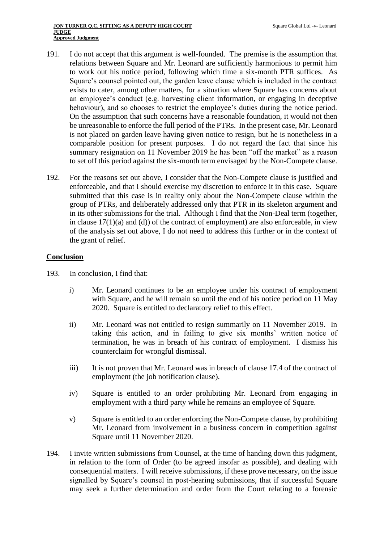- 191. I do not accept that this argument is well-founded. The premise is the assumption that relations between Square and Mr. Leonard are sufficiently harmonious to permit him to work out his notice period, following which time a six-month PTR suffices. As Square's counsel pointed out, the garden leave clause which is included in the contract exists to cater, among other matters, for a situation where Square has concerns about an employee's conduct (e.g. harvesting client information, or engaging in deceptive behaviour), and so chooses to restrict the employee's duties during the notice period. On the assumption that such concerns have a reasonable foundation, it would not then be unreasonable to enforce the full period of the PTRs. In the present case, Mr. Leonard is not placed on garden leave having given notice to resign, but he is nonetheless in a comparable position for present purposes. I do not regard the fact that since his summary resignation on 11 November 2019 he has been "off the market" as a reason to set off this period against the six-month term envisaged by the Non-Compete clause.
- 192. For the reasons set out above, I consider that the Non-Compete clause is justified and enforceable, and that I should exercise my discretion to enforce it in this case. Square submitted that this case is in reality only about the Non-Compete clause within the group of PTRs, and deliberately addressed only that PTR in its skeleton argument and in its other submissions for the trial. Although I find that the Non-Deal term (together, in clause 17(1)(a) and (d)) of the contract of employment) are also enforceable, in view of the analysis set out above, I do not need to address this further or in the context of the grant of relief.

#### **Conclusion**

- 193. In conclusion, I find that:
	- i) Mr. Leonard continues to be an employee under his contract of employment with Square, and he will remain so until the end of his notice period on 11 May 2020. Square is entitled to declaratory relief to this effect.
	- ii) Mr. Leonard was not entitled to resign summarily on 11 November 2019. In taking this action, and in failing to give six months' written notice of termination, he was in breach of his contract of employment. I dismiss his counterclaim for wrongful dismissal.
	- iii) It is not proven that Mr. Leonard was in breach of clause 17.4 of the contract of employment (the job notification clause).
	- iv) Square is entitled to an order prohibiting Mr. Leonard from engaging in employment with a third party while he remains an employee of Square.
	- v) Square is entitled to an order enforcing the Non-Compete clause, by prohibiting Mr. Leonard from involvement in a business concern in competition against Square until 11 November 2020.
- 194. I invite written submissions from Counsel, at the time of handing down this judgment, in relation to the form of Order (to be agreed insofar as possible), and dealing with consequential matters. I will receive submissions, if these prove necessary, on the issue signalled by Square's counsel in post-hearing submissions, that if successful Square may seek a further determination and order from the Court relating to a forensic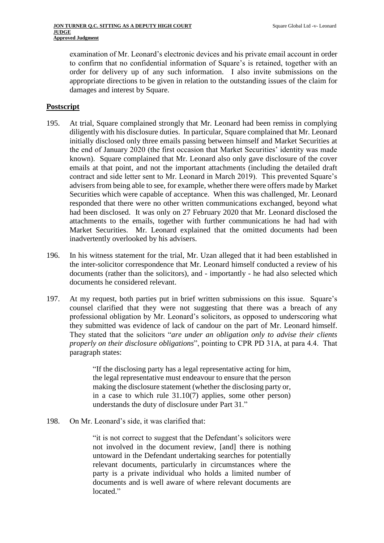examination of Mr. Leonard's electronic devices and his private email account in order to confirm that no confidential information of Square's is retained, together with an order for delivery up of any such information. I also invite submissions on the appropriate directions to be given in relation to the outstanding issues of the claim for damages and interest by Square.

#### **Postscript**

- 195. At trial, Square complained strongly that Mr. Leonard had been remiss in complying diligently with his disclosure duties. In particular, Square complained that Mr. Leonard initially disclosed only three emails passing between himself and Market Securities at the end of January 2020 (the first occasion that Market Securities' identity was made known). Square complained that Mr. Leonard also only gave disclosure of the cover emails at that point, and not the important attachments (including the detailed draft contract and side letter sent to Mr. Leonard in March 2019). This prevented Square's advisers from being able to see, for example, whether there were offers made by Market Securities which were capable of acceptance. When this was challenged, Mr. Leonard responded that there were no other written communications exchanged, beyond what had been disclosed. It was only on 27 February 2020 that Mr. Leonard disclosed the attachments to the emails, together with further communications he had had with Market Securities. Mr. Leonard explained that the omitted documents had been inadvertently overlooked by his advisers.
- 196. In his witness statement for the trial, Mr. Uzan alleged that it had been established in the inter-solicitor correspondence that Mr. Leonard himself conducted a review of his documents (rather than the solicitors), and - importantly - he had also selected which documents he considered relevant.
- 197. At my request, both parties put in brief written submissions on this issue. Square's counsel clarified that they were not suggesting that there was a breach of any professional obligation by Mr. Leonard's solicitors, as opposed to underscoring what they submitted was evidence of lack of candour on the part of Mr. Leonard himself. They stated that the solicitors "*are under an obligation only to advise their clients properly on their disclosure obligations*", pointing to CPR PD 31A, at para 4.4. That paragraph states:

"If the disclosing party has a legal representative acting for him, the legal representative must endeavour to ensure that the person making the disclosure statement (whether the disclosing party or, in a case to which rule 31.10(7) applies, some other person) understands the duty of disclosure under Part 31."

198. On Mr. Leonard's side, it was clarified that:

"it is not correct to suggest that the Defendant's solicitors were not involved in the document review, [and] there is nothing untoward in the Defendant undertaking searches for potentially relevant documents, particularly in circumstances where the party is a private individual who holds a limited number of documents and is well aware of where relevant documents are located."